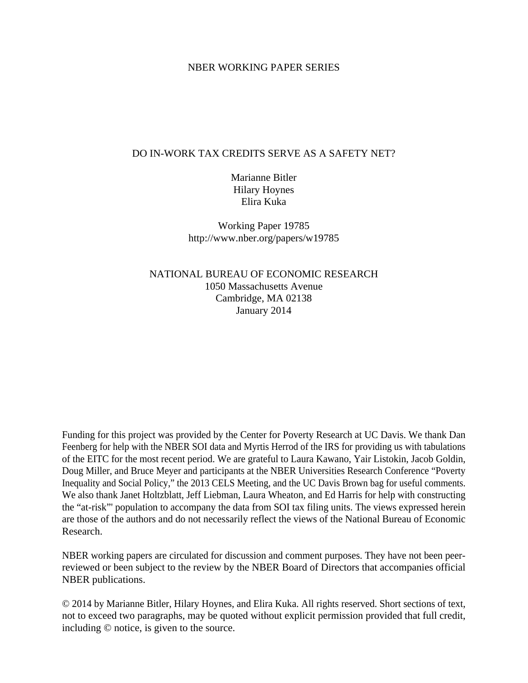# NBER WORKING PAPER SERIES

# DO IN-WORK TAX CREDITS SERVE AS A SAFETY NET?

Marianne Bitler Hilary Hoynes Elira Kuka

Working Paper 19785 http://www.nber.org/papers/w19785

NATIONAL BUREAU OF ECONOMIC RESEARCH 1050 Massachusetts Avenue Cambridge, MA 02138 January 2014

Funding for this project was provided by the Center for Poverty Research at UC Davis. We thank Dan Feenberg for help with the NBER SOI data and Myrtis Herrod of the IRS for providing us with tabulations of the EITC for the most recent period. We are grateful to Laura Kawano, Yair Listokin, Jacob Goldin, Doug Miller, and Bruce Meyer and participants at the NBER Universities Research Conference "Poverty Inequality and Social Policy," the 2013 CELS Meeting, and the UC Davis Brown bag for useful comments. We also thank Janet Holtzblatt, Jeff Liebman, Laura Wheaton, and Ed Harris for help with constructing the "at-risk"' population to accompany the data from SOI tax filing units. The views expressed herein are those of the authors and do not necessarily reflect the views of the National Bureau of Economic Research.

NBER working papers are circulated for discussion and comment purposes. They have not been peerreviewed or been subject to the review by the NBER Board of Directors that accompanies official NBER publications.

© 2014 by Marianne Bitler, Hilary Hoynes, and Elira Kuka. All rights reserved. Short sections of text, not to exceed two paragraphs, may be quoted without explicit permission provided that full credit, including © notice, is given to the source.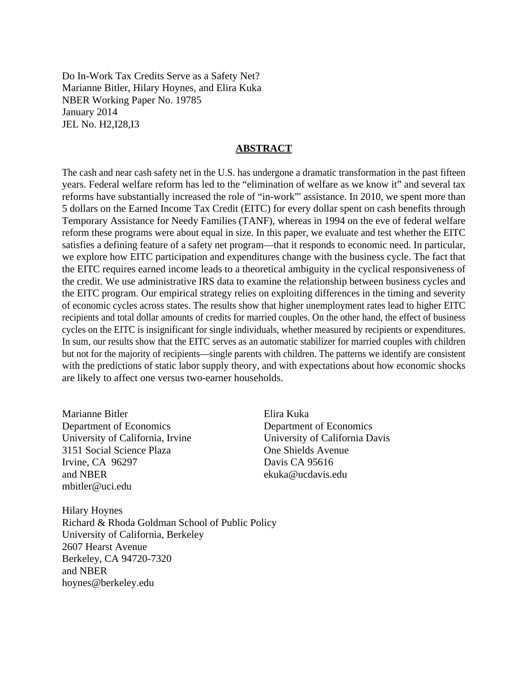Do In-Work Tax Credits Serve as a Safety Net? Marianne Bitler, Hilary Hoynes, and Elira Kuka NBER Working Paper No. 19785 January 2014 JEL No. H2,I28,I3

## **ABSTRACT**

The cash and near cash safety net in the U.S. has undergone a dramatic transformation in the past fifteen years. Federal welfare reform has led to the "elimination of welfare as we know it" and several tax reforms have substantially increased the role of "in-work"' assistance. In 2010, we spent more than 5 dollars on the Earned Income Tax Credit (EITC) for every dollar spent on cash benefits through Temporary Assistance for Needy Families (TANF), whereas in 1994 on the eve of federal welfare reform these programs were about equal in size. In this paper, we evaluate and test whether the EITC satisfies a defining feature of a safety net program—that it responds to economic need. In particular, we explore how EITC participation and expenditures change with the business cycle. The fact that the EITC requires earned income leads to a theoretical ambiguity in the cyclical responsiveness of the credit. We use administrative IRS data to examine the relationship between business cycles and the EITC program. Our empirical strategy relies on exploiting differences in the timing and severity of economic cycles across states. The results show that higher unemployment rates lead to higher EITC recipients and total dollar amounts of credits for married couples. On the other hand, the effect of business cycles on the EITC is insignificant for single individuals, whether measured by recipients or expenditures. In sum, our results show that the EITC serves as an automatic stabilizer for married couples with children but not for the majority of recipients—single parents with children. The patterns we identify are consistent with the predictions of static labor supply theory, and with expectations about how economic shocks are likely to affect one versus two-earner households.

Marianne Bitler Department of Economics University of California, Irvine 3151 Social Science Plaza Irvine, CA 96297 and NBER mbitler@uci.edu

Elira Kuka Department of Economics University of California Davis One Shields Avenue Davis CA 95616 ekuka@ucdavis.edu

Hilary Hoynes Richard & Rhoda Goldman School of Public Policy University of California, Berkeley 2607 Hearst Avenue Berkeley, CA 94720-7320 and NBER hoynes@berkeley.edu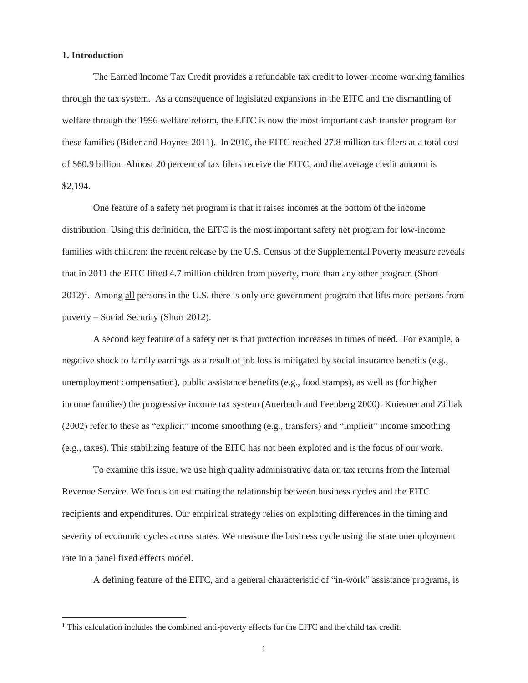#### **1. Introduction**

 $\overline{a}$ 

The Earned Income Tax Credit provides a refundable tax credit to lower income working families through the tax system. As a consequence of legislated expansions in the EITC and the dismantling of welfare through the 1996 welfare reform, the EITC is now the most important cash transfer program for these families (Bitler and Hoynes 2011). In 2010, the EITC reached 27.8 million tax filers at a total cost of \$60.9 billion. Almost 20 percent of tax filers receive the EITC, and the average credit amount is \$2,194.

One feature of a safety net program is that it raises incomes at the bottom of the income distribution. Using this definition, the EITC is the most important safety net program for low-income families with children: the recent release by the U.S. Census of the Supplemental Poverty measure reveals that in 2011 the EITC lifted 4.7 million children from poverty, more than any other program (Short 2012)<sup>1</sup>. Among all persons in the U.S. there is only one government program that lifts more persons from poverty – Social Security (Short 2012).

A second key feature of a safety net is that protection increases in times of need. For example, a negative shock to family earnings as a result of job loss is mitigated by social insurance benefits (e.g., unemployment compensation), public assistance benefits (e.g., food stamps), as well as (for higher income families) the progressive income tax system (Auerbach and Feenberg 2000). Kniesner and Zilliak (2002) refer to these as "explicit" income smoothing (e.g., transfers) and "implicit" income smoothing (e.g., taxes). This stabilizing feature of the EITC has not been explored and is the focus of our work.

To examine this issue, we use high quality administrative data on tax returns from the Internal Revenue Service. We focus on estimating the relationship between business cycles and the EITC recipients and expenditures. Our empirical strategy relies on exploiting differences in the timing and severity of economic cycles across states. We measure the business cycle using the state unemployment rate in a panel fixed effects model.

A defining feature of the EITC, and a general characteristic of "in-work" assistance programs, is

<sup>&</sup>lt;sup>1</sup> This calculation includes the combined anti-poverty effects for the EITC and the child tax credit.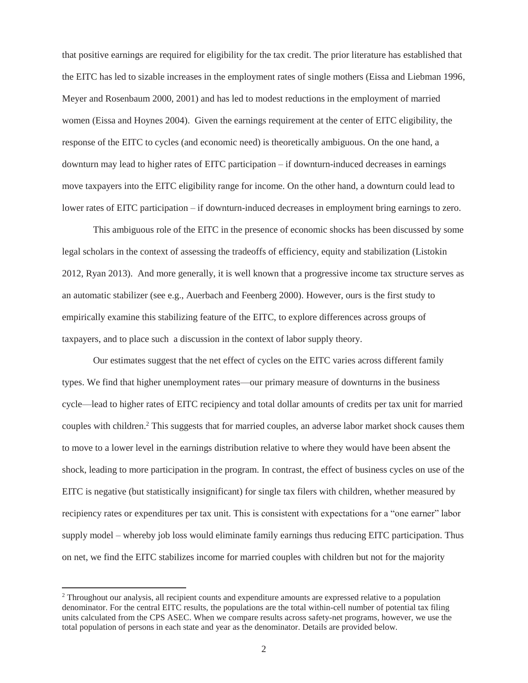that positive earnings are required for eligibility for the tax credit. The prior literature has established that the EITC has led to sizable increases in the employment rates of single mothers (Eissa and Liebman 1996, Meyer and Rosenbaum 2000, 2001) and has led to modest reductions in the employment of married women (Eissa and Hoynes 2004). Given the earnings requirement at the center of EITC eligibility, the response of the EITC to cycles (and economic need) is theoretically ambiguous. On the one hand, a downturn may lead to higher rates of EITC participation – if downturn-induced decreases in earnings move taxpayers into the EITC eligibility range for income. On the other hand, a downturn could lead to lower rates of EITC participation – if downturn-induced decreases in employment bring earnings to zero.

This ambiguous role of the EITC in the presence of economic shocks has been discussed by some legal scholars in the context of assessing the tradeoffs of efficiency, equity and stabilization (Listokin 2012, Ryan 2013). And more generally, it is well known that a progressive income tax structure serves as an automatic stabilizer (see e.g., Auerbach and Feenberg 2000). However, ours is the first study to empirically examine this stabilizing feature of the EITC, to explore differences across groups of taxpayers, and to place such a discussion in the context of labor supply theory.

Our estimates suggest that the net effect of cycles on the EITC varies across different family types. We find that higher unemployment rates—our primary measure of downturns in the business cycle—lead to higher rates of EITC recipiency and total dollar amounts of credits per tax unit for married couples with children.<sup>2</sup> This suggests that for married couples, an adverse labor market shock causes them to move to a lower level in the earnings distribution relative to where they would have been absent the shock, leading to more participation in the program. In contrast, the effect of business cycles on use of the EITC is negative (but statistically insignificant) for single tax filers with children, whether measured by recipiency rates or expenditures per tax unit. This is consistent with expectations for a "one earner" labor supply model – whereby job loss would eliminate family earnings thus reducing EITC participation. Thus on net, we find the EITC stabilizes income for married couples with children but not for the majority

<sup>&</sup>lt;sup>2</sup> Throughout our analysis, all recipient counts and expenditure amounts are expressed relative to a population denominator. For the central EITC results, the populations are the total within-cell number of potential tax filing units calculated from the CPS ASEC. When we compare results across safety-net programs, however, we use the total population of persons in each state and year as the denominator. Details are provided below.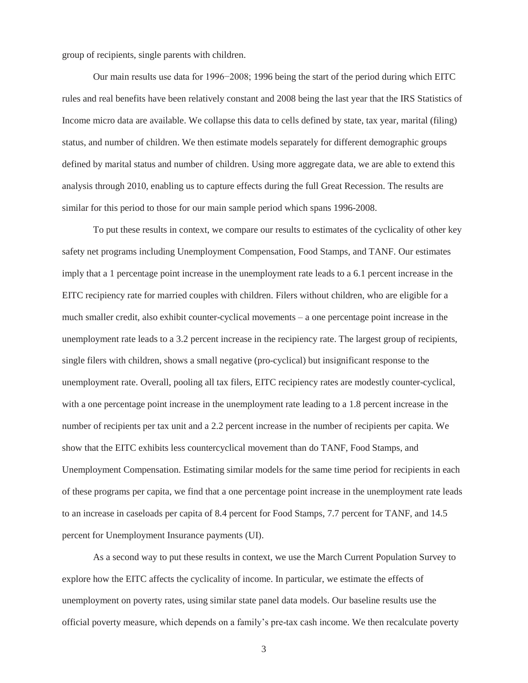group of recipients, single parents with children.

Our main results use data for 1996−2008; 1996 being the start of the period during which EITC rules and real benefits have been relatively constant and 2008 being the last year that the IRS Statistics of Income micro data are available. We collapse this data to cells defined by state, tax year, marital (filing) status, and number of children. We then estimate models separately for different demographic groups defined by marital status and number of children. Using more aggregate data, we are able to extend this analysis through 2010, enabling us to capture effects during the full Great Recession. The results are similar for this period to those for our main sample period which spans 1996-2008.

To put these results in context, we compare our results to estimates of the cyclicality of other key safety net programs including Unemployment Compensation, Food Stamps, and TANF. Our estimates imply that a 1 percentage point increase in the unemployment rate leads to a 6.1 percent increase in the EITC recipiency rate for married couples with children. Filers without children, who are eligible for a much smaller credit, also exhibit counter-cyclical movements – a one percentage point increase in the unemployment rate leads to a 3.2 percent increase in the recipiency rate. The largest group of recipients, single filers with children, shows a small negative (pro-cyclical) but insignificant response to the unemployment rate. Overall, pooling all tax filers, EITC recipiency rates are modestly counter-cyclical, with a one percentage point increase in the unemployment rate leading to a 1.8 percent increase in the number of recipients per tax unit and a 2.2 percent increase in the number of recipients per capita. We show that the EITC exhibits less countercyclical movement than do TANF, Food Stamps, and Unemployment Compensation. Estimating similar models for the same time period for recipients in each of these programs per capita, we find that a one percentage point increase in the unemployment rate leads to an increase in caseloads per capita of 8.4 percent for Food Stamps, 7.7 percent for TANF, and 14.5 percent for Unemployment Insurance payments (UI).

As a second way to put these results in context, we use the March Current Population Survey to explore how the EITC affects the cyclicality of income. In particular, we estimate the effects of unemployment on poverty rates, using similar state panel data models. Our baseline results use the official poverty measure, which depends on a family's pre-tax cash income. We then recalculate poverty

3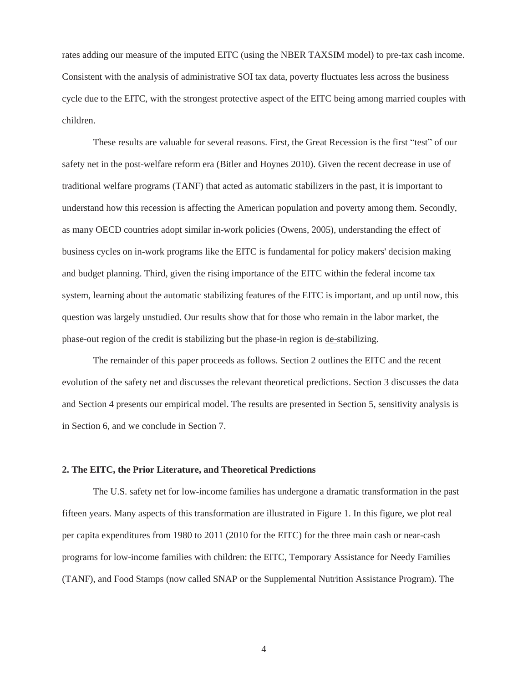rates adding our measure of the imputed EITC (using the NBER TAXSIM model) to pre-tax cash income. Consistent with the analysis of administrative SOI tax data, poverty fluctuates less across the business cycle due to the EITC, with the strongest protective aspect of the EITC being among married couples with children.

These results are valuable for several reasons. First, the Great Recession is the first "test" of our safety net in the post-welfare reform era (Bitler and Hoynes 2010). Given the recent decrease in use of traditional welfare programs (TANF) that acted as automatic stabilizers in the past, it is important to understand how this recession is affecting the American population and poverty among them. Secondly, as many OECD countries adopt similar in-work policies (Owens, 2005), understanding the effect of business cycles on in-work programs like the EITC is fundamental for policy makers' decision making and budget planning. Third, given the rising importance of the EITC within the federal income tax system, learning about the automatic stabilizing features of the EITC is important, and up until now, this question was largely unstudied. Our results show that for those who remain in the labor market, the phase-out region of the credit is stabilizing but the phase-in region is de-stabilizing.

The remainder of this paper proceeds as follows. Section 2 outlines the EITC and the recent evolution of the safety net and discusses the relevant theoretical predictions. Section 3 discusses the data and Section 4 presents our empirical model. The results are presented in Section 5, sensitivity analysis is in Section 6, and we conclude in Section 7.

## **2. The EITC, the Prior Literature, and Theoretical Predictions**

The U.S. safety net for low-income families has undergone a dramatic transformation in the past fifteen years. Many aspects of this transformation are illustrated in Figure 1. In this figure, we plot real per capita expenditures from 1980 to 2011 (2010 for the EITC) for the three main cash or near-cash programs for low-income families with children: the EITC, Temporary Assistance for Needy Families (TANF), and Food Stamps (now called SNAP or the Supplemental Nutrition Assistance Program). The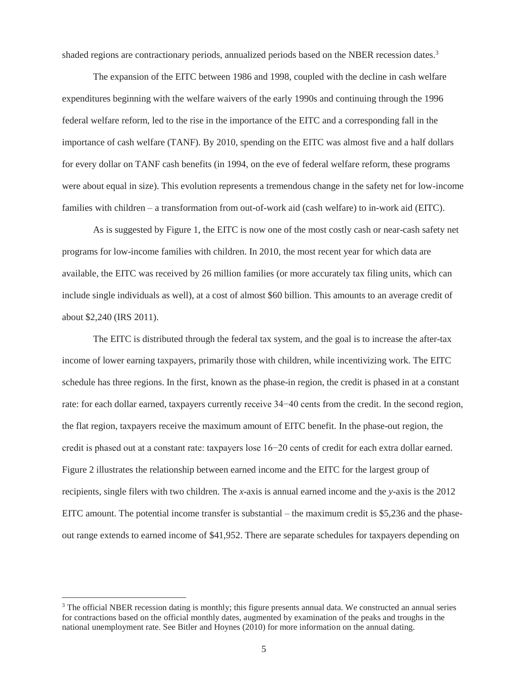shaded regions are contractionary periods, annualized periods based on the NBER recession dates.<sup>3</sup>

The expansion of the EITC between 1986 and 1998, coupled with the decline in cash welfare expenditures beginning with the welfare waivers of the early 1990s and continuing through the 1996 federal welfare reform, led to the rise in the importance of the EITC and a corresponding fall in the importance of cash welfare (TANF). By 2010, spending on the EITC was almost five and a half dollars for every dollar on TANF cash benefits (in 1994, on the eve of federal welfare reform, these programs were about equal in size). This evolution represents a tremendous change in the safety net for low-income families with children – a transformation from out-of-work aid (cash welfare) to in-work aid (EITC).

As is suggested by Figure 1, the EITC is now one of the most costly cash or near-cash safety net programs for low-income families with children. In 2010, the most recent year for which data are available, the EITC was received by 26 million families (or more accurately tax filing units, which can include single individuals as well), at a cost of almost \$60 billion. This amounts to an average credit of about \$2,240 (IRS 2011).

The EITC is distributed through the federal tax system, and the goal is to increase the after-tax income of lower earning taxpayers, primarily those with children, while incentivizing work. The EITC schedule has three regions. In the first, known as the phase-in region, the credit is phased in at a constant rate: for each dollar earned, taxpayers currently receive 34−40 cents from the credit. In the second region, the flat region, taxpayers receive the maximum amount of EITC benefit. In the phase-out region, the credit is phased out at a constant rate: taxpayers lose 16−20 cents of credit for each extra dollar earned. Figure 2 illustrates the relationship between earned income and the EITC for the largest group of recipients, single filers with two children. The *x*-axis is annual earned income and the *y*-axis is the 2012 EITC amount. The potential income transfer is substantial – the maximum credit is \$5,236 and the phaseout range extends to earned income of \$41,952. There are separate schedules for taxpayers depending on

<sup>&</sup>lt;sup>3</sup> The official NBER recession dating is monthly; this figure presents annual data. We constructed an annual series for contractions based on the official monthly dates, augmented by examination of the peaks and troughs in the national unemployment rate. See Bitler and Hoynes (2010) for more information on the annual dating.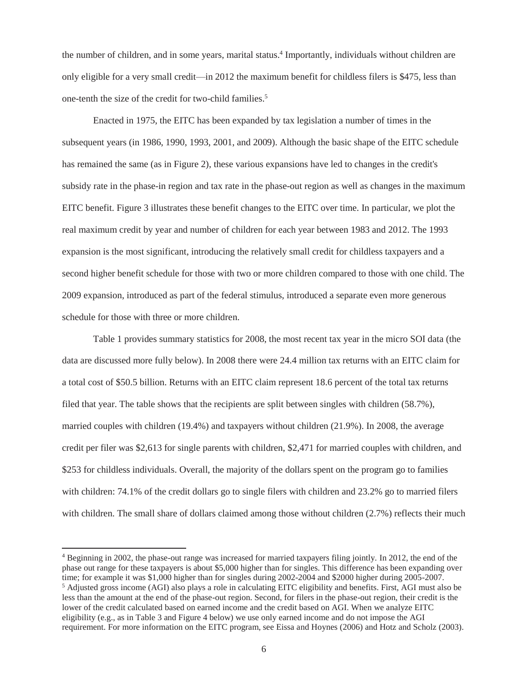the number of children, and in some years, marital status.<sup>4</sup> Importantly, individuals without children are only eligible for a very small credit—in 2012 the maximum benefit for childless filers is \$475, less than one-tenth the size of the credit for two-child families.<sup>5</sup>

Enacted in 1975, the EITC has been expanded by tax legislation a number of times in the subsequent years (in 1986, 1990, 1993, 2001, and 2009). Although the basic shape of the EITC schedule has remained the same (as in Figure 2), these various expansions have led to changes in the credit's subsidy rate in the phase-in region and tax rate in the phase-out region as well as changes in the maximum EITC benefit. Figure 3 illustrates these benefit changes to the EITC over time. In particular, we plot the real maximum credit by year and number of children for each year between 1983 and 2012. The 1993 expansion is the most significant, introducing the relatively small credit for childless taxpayers and a second higher benefit schedule for those with two or more children compared to those with one child. The 2009 expansion, introduced as part of the federal stimulus, introduced a separate even more generous schedule for those with three or more children.

Table 1 provides summary statistics for 2008, the most recent tax year in the micro SOI data (the data are discussed more fully below). In 2008 there were 24.4 million tax returns with an EITC claim for a total cost of \$50.5 billion. Returns with an EITC claim represent 18.6 percent of the total tax returns filed that year. The table shows that the recipients are split between singles with children (58.7%), married couples with children (19.4%) and taxpayers without children (21.9%). In 2008, the average credit per filer was \$2,613 for single parents with children, \$2,471 for married couples with children, and \$253 for childless individuals. Overall, the majority of the dollars spent on the program go to families with children: 74.1% of the credit dollars go to single filers with children and 23.2% go to married filers with children. The small share of dollars claimed among those without children (2.7%) reflects their much

<sup>4</sup> Beginning in 2002, the phase-out range was increased for married taxpayers filing jointly. In 2012, the end of the phase out range for these taxpayers is about \$5,000 higher than for singles. This difference has been expanding over time; for example it was \$1,000 higher than for singles during 2002-2004 and \$2000 higher during 2005-2007. <sup>5</sup> Adjusted gross income (AGI) also plays a role in calculating EITC eligibility and benefits. First, AGI must also be less than the amount at the end of the phase-out region. Second, for filers in the phase-out region, their credit is the lower of the credit calculated based on earned income and the credit based on AGI. When we analyze EITC eligibility (e.g., as in Table 3 and Figure 4 below) we use only earned income and do not impose the AGI requirement. For more information on the EITC program, see Eissa and Hoynes (2006) and Hotz and Scholz (2003).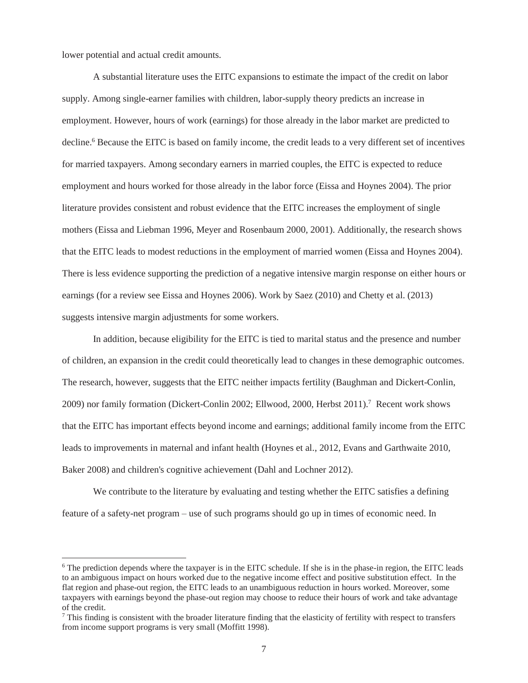lower potential and actual credit amounts.

 $\overline{a}$ 

A substantial literature uses the EITC expansions to estimate the impact of the credit on labor supply. Among single-earner families with children, labor-supply theory predicts an increase in employment. However, hours of work (earnings) for those already in the labor market are predicted to decline.<sup>6</sup> Because the EITC is based on family income, the credit leads to a very different set of incentives for married taxpayers. Among secondary earners in married couples, the EITC is expected to reduce employment and hours worked for those already in the labor force (Eissa and Hoynes 2004). The prior literature provides consistent and robust evidence that the EITC increases the employment of single mothers (Eissa and Liebman 1996, Meyer and Rosenbaum 2000, 2001). Additionally, the research shows that the EITC leads to modest reductions in the employment of married women (Eissa and Hoynes 2004). There is less evidence supporting the prediction of a negative intensive margin response on either hours or earnings (for a review see Eissa and Hoynes 2006). Work by Saez (2010) and Chetty et al. (2013) suggests intensive margin adjustments for some workers.

In addition, because eligibility for the EITC is tied to marital status and the presence and number of children, an expansion in the credit could theoretically lead to changes in these demographic outcomes. The research, however, suggests that the EITC neither impacts fertility (Baughman and Dickert-Conlin, 2009) nor family formation (Dickert-Conlin 2002; Ellwood, 2000, Herbst 2011).7 Recent work shows that the EITC has important effects beyond income and earnings; additional family income from the EITC leads to improvements in maternal and infant health (Hoynes et al., 2012, Evans and Garthwaite 2010, Baker 2008) and children's cognitive achievement (Dahl and Lochner 2012).

We contribute to the literature by evaluating and testing whether the EITC satisfies a defining feature of a safety-net program – use of such programs should go up in times of economic need. In

<sup>&</sup>lt;sup>6</sup> The prediction depends where the taxpayer is in the EITC schedule. If she is in the phase-in region, the EITC leads to an ambiguous impact on hours worked due to the negative income effect and positive substitution effect. In the flat region and phase-out region, the EITC leads to an unambiguous reduction in hours worked. Moreover, some taxpayers with earnings beyond the phase-out region may choose to reduce their hours of work and take advantage of the credit.

 $^7$  This finding is consistent with the broader literature finding that the elasticity of fertility with respect to transfers from income support programs is very small (Moffitt 1998).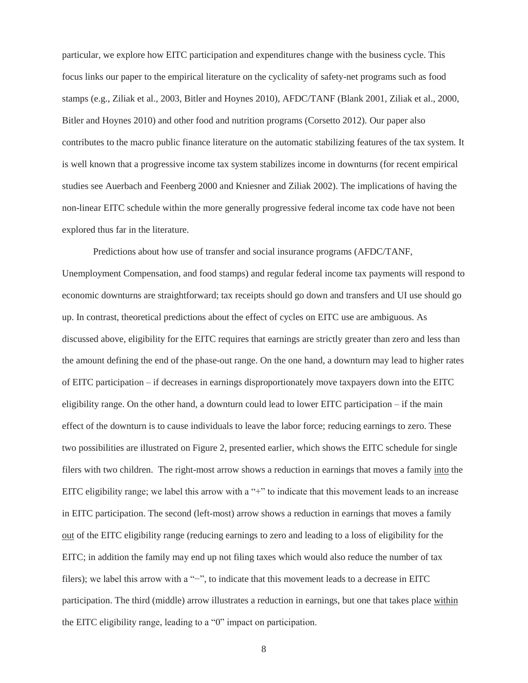particular, we explore how EITC participation and expenditures change with the business cycle. This focus links our paper to the empirical literature on the cyclicality of safety-net programs such as food stamps (e.g., Ziliak et al., 2003, Bitler and Hoynes 2010), AFDC/TANF (Blank 2001, Ziliak et al., 2000, Bitler and Hoynes 2010) and other food and nutrition programs (Corsetto 2012). Our paper also contributes to the macro public finance literature on the automatic stabilizing features of the tax system. It is well known that a progressive income tax system stabilizes income in downturns (for recent empirical studies see Auerbach and Feenberg 2000 and Kniesner and Ziliak 2002). The implications of having the non-linear EITC schedule within the more generally progressive federal income tax code have not been explored thus far in the literature.

Predictions about how use of transfer and social insurance programs (AFDC/TANF, Unemployment Compensation, and food stamps) and regular federal income tax payments will respond to economic downturns are straightforward; tax receipts should go down and transfers and UI use should go up. In contrast, theoretical predictions about the effect of cycles on EITC use are ambiguous. As discussed above, eligibility for the EITC requires that earnings are strictly greater than zero and less than the amount defining the end of the phase-out range. On the one hand, a downturn may lead to higher rates of EITC participation – if decreases in earnings disproportionately move taxpayers down into the EITC eligibility range. On the other hand, a downturn could lead to lower EITC participation – if the main effect of the downturn is to cause individuals to leave the labor force; reducing earnings to zero. These two possibilities are illustrated on Figure 2, presented earlier, which shows the EITC schedule for single filers with two children. The right-most arrow shows a reduction in earnings that moves a family into the EITC eligibility range; we label this arrow with a "+" to indicate that this movement leads to an increase in EITC participation. The second (left-most) arrow shows a reduction in earnings that moves a family out of the EITC eligibility range (reducing earnings to zero and leading to a loss of eligibility for the EITC; in addition the family may end up not filing taxes which would also reduce the number of tax filers); we label this arrow with a "−", to indicate that this movement leads to a decrease in EITC participation. The third (middle) arrow illustrates a reduction in earnings, but one that takes place within the EITC eligibility range, leading to a "0" impact on participation.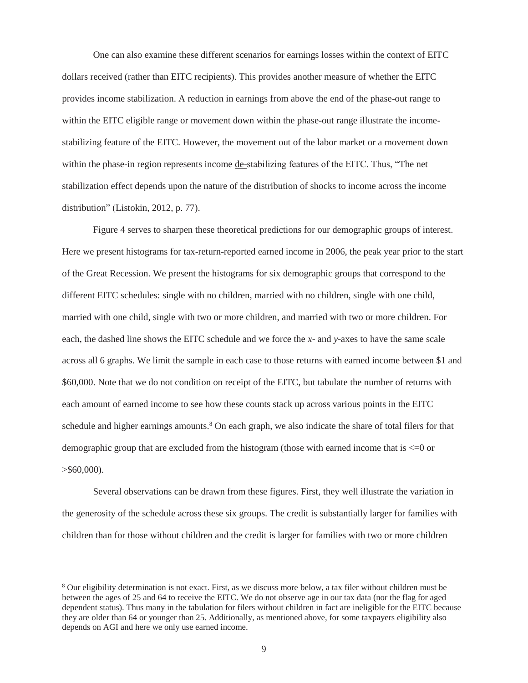One can also examine these different scenarios for earnings losses within the context of EITC dollars received (rather than EITC recipients). This provides another measure of whether the EITC provides income stabilization. A reduction in earnings from above the end of the phase-out range to within the EITC eligible range or movement down within the phase-out range illustrate the incomestabilizing feature of the EITC. However, the movement out of the labor market or a movement down within the phase-in region represents income de-stabilizing features of the EITC. Thus, "The net stabilization effect depends upon the nature of the distribution of shocks to income across the income distribution" (Listokin, 2012, p. 77).

Figure 4 serves to sharpen these theoretical predictions for our demographic groups of interest. Here we present histograms for tax-return-reported earned income in 2006, the peak year prior to the start of the Great Recession. We present the histograms for six demographic groups that correspond to the different EITC schedules: single with no children, married with no children, single with one child, married with one child, single with two or more children, and married with two or more children. For each, the dashed line shows the EITC schedule and we force the *x*- and *y*-axes to have the same scale across all 6 graphs. We limit the sample in each case to those returns with earned income between \$1 and \$60,000. Note that we do not condition on receipt of the EITC, but tabulate the number of returns with each amount of earned income to see how these counts stack up across various points in the EITC schedule and higher earnings amounts.<sup>8</sup> On each graph, we also indicate the share of total filers for that demographic group that are excluded from the histogram (those with earned income that is <=0 or  $>$ \$60,000).

Several observations can be drawn from these figures. First, they well illustrate the variation in the generosity of the schedule across these six groups. The credit is substantially larger for families with children than for those without children and the credit is larger for families with two or more children

<sup>&</sup>lt;sup>8</sup> Our eligibility determination is not exact. First, as we discuss more below, a tax filer without children must be between the ages of 25 and 64 to receive the EITC. We do not observe age in our tax data (nor the flag for aged dependent status). Thus many in the tabulation for filers without children in fact are ineligible for the EITC because they are older than 64 or younger than 25. Additionally, as mentioned above, for some taxpayers eligibility also depends on AGI and here we only use earned income.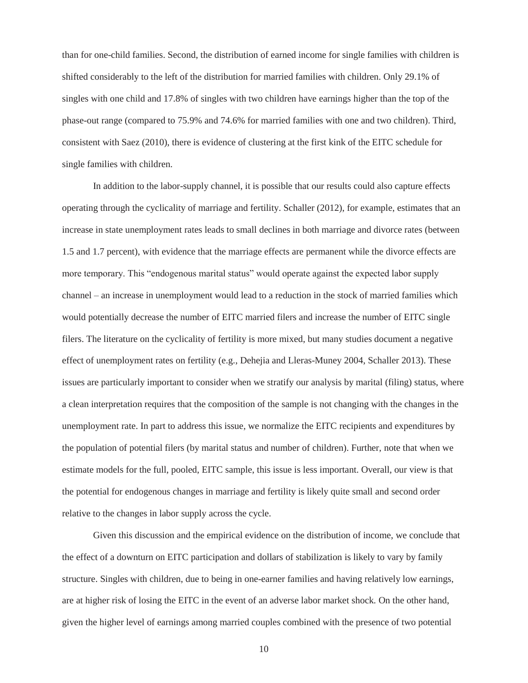than for one-child families. Second, the distribution of earned income for single families with children is shifted considerably to the left of the distribution for married families with children. Only 29.1% of singles with one child and 17.8% of singles with two children have earnings higher than the top of the phase-out range (compared to 75.9% and 74.6% for married families with one and two children). Third, consistent with Saez (2010), there is evidence of clustering at the first kink of the EITC schedule for single families with children.

In addition to the labor-supply channel, it is possible that our results could also capture effects operating through the cyclicality of marriage and fertility. Schaller (2012), for example, estimates that an increase in state unemployment rates leads to small declines in both marriage and divorce rates (between 1.5 and 1.7 percent), with evidence that the marriage effects are permanent while the divorce effects are more temporary. This "endogenous marital status" would operate against the expected labor supply channel – an increase in unemployment would lead to a reduction in the stock of married families which would potentially decrease the number of EITC married filers and increase the number of EITC single filers. The literature on the cyclicality of fertility is more mixed, but many studies document a negative effect of unemployment rates on fertility (e.g., Dehejia and Lleras-Muney 2004, Schaller 2013). These issues are particularly important to consider when we stratify our analysis by marital (filing) status, where a clean interpretation requires that the composition of the sample is not changing with the changes in the unemployment rate. In part to address this issue, we normalize the EITC recipients and expenditures by the population of potential filers (by marital status and number of children). Further, note that when we estimate models for the full, pooled, EITC sample, this issue is less important. Overall, our view is that the potential for endogenous changes in marriage and fertility is likely quite small and second order relative to the changes in labor supply across the cycle.

Given this discussion and the empirical evidence on the distribution of income, we conclude that the effect of a downturn on EITC participation and dollars of stabilization is likely to vary by family structure. Singles with children, due to being in one-earner families and having relatively low earnings, are at higher risk of losing the EITC in the event of an adverse labor market shock. On the other hand, given the higher level of earnings among married couples combined with the presence of two potential

10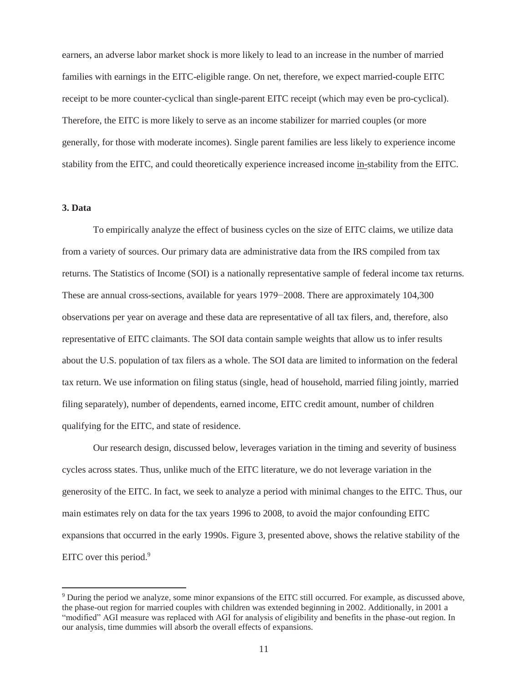earners, an adverse labor market shock is more likely to lead to an increase in the number of married families with earnings in the EITC-eligible range. On net, therefore, we expect married-couple EITC receipt to be more counter-cyclical than single-parent EITC receipt (which may even be pro-cyclical). Therefore, the EITC is more likely to serve as an income stabilizer for married couples (or more generally, for those with moderate incomes). Single parent families are less likely to experience income stability from the EITC, and could theoretically experience increased income in-stability from the EITC.

# **3. Data**

 $\overline{a}$ 

To empirically analyze the effect of business cycles on the size of EITC claims, we utilize data from a variety of sources. Our primary data are administrative data from the IRS compiled from tax returns. The Statistics of Income (SOI) is a nationally representative sample of federal income tax returns. These are annual cross-sections, available for years 1979−2008. There are approximately 104,300 observations per year on average and these data are representative of all tax filers, and, therefore, also representative of EITC claimants. The SOI data contain sample weights that allow us to infer results about the U.S. population of tax filers as a whole. The SOI data are limited to information on the federal tax return. We use information on filing status (single, head of household, married filing jointly, married filing separately), number of dependents, earned income, EITC credit amount, number of children qualifying for the EITC, and state of residence.

Our research design, discussed below, leverages variation in the timing and severity of business cycles across states. Thus, unlike much of the EITC literature, we do not leverage variation in the generosity of the EITC. In fact, we seek to analyze a period with minimal changes to the EITC. Thus, our main estimates rely on data for the tax years 1996 to 2008, to avoid the major confounding EITC expansions that occurred in the early 1990s. Figure 3, presented above, shows the relative stability of the EITC over this period. $9$ 

<sup>9</sup> During the period we analyze, some minor expansions of the EITC still occurred. For example, as discussed above, the phase-out region for married couples with children was extended beginning in 2002. Additionally, in 2001 a "modified" AGI measure was replaced with AGI for analysis of eligibility and benefits in the phase-out region. In our analysis, time dummies will absorb the overall effects of expansions.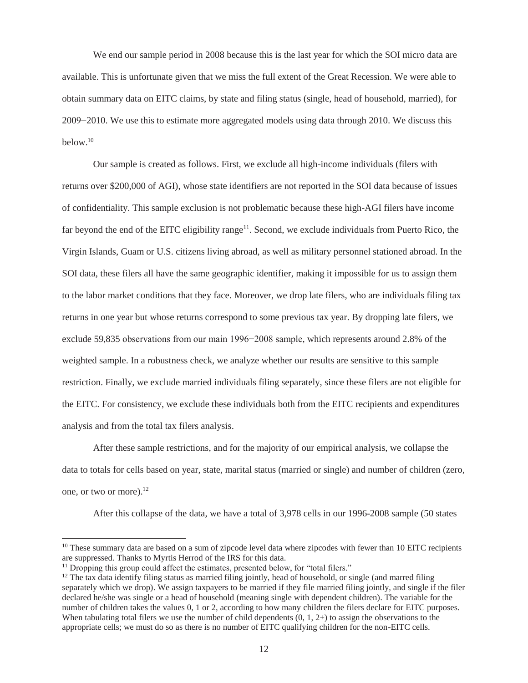We end our sample period in 2008 because this is the last year for which the SOI micro data are available. This is unfortunate given that we miss the full extent of the Great Recession. We were able to obtain summary data on EITC claims, by state and filing status (single, head of household, married), for 2009−2010. We use this to estimate more aggregated models using data through 2010. We discuss this below.10

Our sample is created as follows. First, we exclude all high-income individuals (filers with returns over \$200,000 of AGI), whose state identifiers are not reported in the SOI data because of issues of confidentiality. This sample exclusion is not problematic because these high-AGI filers have income far beyond the end of the EITC eligibility range<sup>11</sup>. Second, we exclude individuals from Puerto Rico, the Virgin Islands, Guam or U.S. citizens living abroad, as well as military personnel stationed abroad. In the SOI data, these filers all have the same geographic identifier, making it impossible for us to assign them to the labor market conditions that they face. Moreover, we drop late filers, who are individuals filing tax returns in one year but whose returns correspond to some previous tax year. By dropping late filers, we exclude 59,835 observations from our main 1996−2008 sample, which represents around 2.8% of the weighted sample. In a robustness check, we analyze whether our results are sensitive to this sample restriction. Finally, we exclude married individuals filing separately, since these filers are not eligible for the EITC. For consistency, we exclude these individuals both from the EITC recipients and expenditures analysis and from the total tax filers analysis.

After these sample restrictions, and for the majority of our empirical analysis, we collapse the data to totals for cells based on year, state, marital status (married or single) and number of children (zero, one, or two or more). $^{12}$ 

After this collapse of the data, we have a total of 3,978 cells in our 1996-2008 sample (50 states

<sup>&</sup>lt;sup>10</sup> These summary data are based on a sum of zipcode level data where zipcodes with fewer than 10 EITC recipients are suppressed. Thanks to Myrtis Herrod of the IRS for this data.

<sup>&</sup>lt;sup>11</sup> Dropping this group could affect the estimates, presented below, for "total filers."

 $12$  The tax data identify filing status as married filing jointly, head of household, or single (and marred filing separately which we drop). We assign taxpayers to be married if they file married filing jointly, and single if the filer declared he/she was single or a head of household (meaning single with dependent children). The variable for the number of children takes the values 0, 1 or 2, according to how many children the filers declare for EITC purposes. When tabulating total filers we use the number of child dependents  $(0, 1, 2+)$  to assign the observations to the appropriate cells; we must do so as there is no number of EITC qualifying children for the non-EITC cells.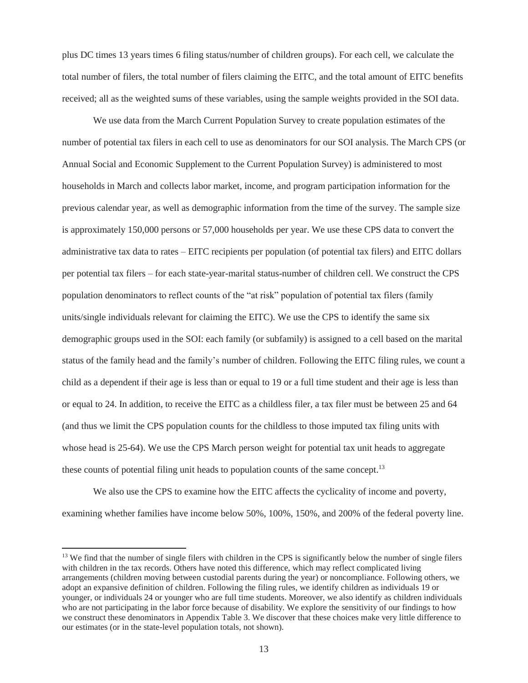plus DC times 13 years times 6 filing status/number of children groups). For each cell, we calculate the total number of filers, the total number of filers claiming the EITC, and the total amount of EITC benefits received; all as the weighted sums of these variables, using the sample weights provided in the SOI data.

We use data from the March Current Population Survey to create population estimates of the number of potential tax filers in each cell to use as denominators for our SOI analysis. The March CPS (or Annual Social and Economic Supplement to the Current Population Survey) is administered to most households in March and collects labor market, income, and program participation information for the previous calendar year, as well as demographic information from the time of the survey. The sample size is approximately 150,000 persons or 57,000 households per year. We use these CPS data to convert the administrative tax data to rates – EITC recipients per population (of potential tax filers) and EITC dollars per potential tax filers – for each state-year-marital status-number of children cell. We construct the CPS population denominators to reflect counts of the "at risk" population of potential tax filers (family units/single individuals relevant for claiming the EITC). We use the CPS to identify the same six demographic groups used in the SOI: each family (or subfamily) is assigned to a cell based on the marital status of the family head and the family's number of children. Following the EITC filing rules, we count a child as a dependent if their age is less than or equal to 19 or a full time student and their age is less than or equal to 24. In addition, to receive the EITC as a childless filer, a tax filer must be between 25 and 64 (and thus we limit the CPS population counts for the childless to those imputed tax filing units with whose head is 25-64). We use the CPS March person weight for potential tax unit heads to aggregate these counts of potential filing unit heads to population counts of the same concept.<sup>13</sup>

We also use the CPS to examine how the EITC affects the cyclicality of income and poverty, examining whether families have income below 50%, 100%, 150%, and 200% of the federal poverty line.

 $<sup>13</sup>$  We find that the number of single filers with children in the CPS is significantly below the number of single filers</sup> with children in the tax records. Others have noted this difference, which may reflect complicated living arrangements (children moving between custodial parents during the year) or noncompliance. Following others, we adopt an expansive definition of children. Following the filing rules, we identify children as individuals 19 or younger, or individuals 24 or younger who are full time students. Moreover, we also identify as children individuals who are not participating in the labor force because of disability. We explore the sensitivity of our findings to how we construct these denominators in Appendix Table 3. We discover that these choices make very little difference to our estimates (or in the state-level population totals, not shown).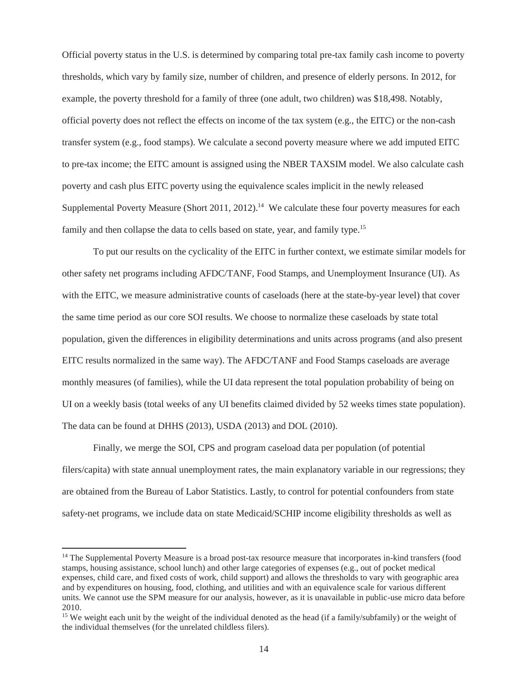Official poverty status in the U.S. is determined by comparing total pre-tax family cash income to poverty thresholds, which vary by family size, number of children, and presence of elderly persons. In 2012, for example, the poverty threshold for a family of three (one adult, two children) was \$18,498. Notably, official poverty does not reflect the effects on income of the tax system (e.g., the EITC) or the non-cash transfer system (e.g., food stamps). We calculate a second poverty measure where we add imputed EITC to pre-tax income; the EITC amount is assigned using the NBER TAXSIM model. We also calculate cash poverty and cash plus EITC poverty using the equivalence scales implicit in the newly released Supplemental Poverty Measure (Short 2011, 2012).<sup>14</sup> We calculate these four poverty measures for each family and then collapse the data to cells based on state, year, and family type.<sup>15</sup>

To put our results on the cyclicality of the EITC in further context, we estimate similar models for other safety net programs including AFDC/TANF, Food Stamps, and Unemployment Insurance (UI). As with the EITC, we measure administrative counts of caseloads (here at the state-by-year level) that cover the same time period as our core SOI results. We choose to normalize these caseloads by state total population, given the differences in eligibility determinations and units across programs (and also present EITC results normalized in the same way). The AFDC/TANF and Food Stamps caseloads are average monthly measures (of families), while the UI data represent the total population probability of being on UI on a weekly basis (total weeks of any UI benefits claimed divided by 52 weeks times state population). The data can be found at DHHS (2013), USDA (2013) and DOL (2010).

Finally, we merge the SOI, CPS and program caseload data per population (of potential filers/capita) with state annual unemployment rates, the main explanatory variable in our regressions; they are obtained from the Bureau of Labor Statistics. Lastly, to control for potential confounders from state safety-net programs, we include data on state Medicaid/SCHIP income eligibility thresholds as well as

<sup>&</sup>lt;sup>14</sup> The Supplemental Poverty Measure is a broad post-tax resource measure that incorporates in-kind transfers (food stamps, housing assistance, school lunch) and other large categories of expenses (e.g., out of pocket medical expenses, child care, and fixed costs of work, child support) and allows the thresholds to vary with geographic area and by expenditures on housing, food, clothing, and utilities and with an equivalence scale for various different units. We cannot use the SPM measure for our analysis, however, as it is unavailable in public-use micro data before 2010.

<sup>&</sup>lt;sup>15</sup> We weight each unit by the weight of the individual denoted as the head (if a family/subfamily) or the weight of the individual themselves (for the unrelated childless filers).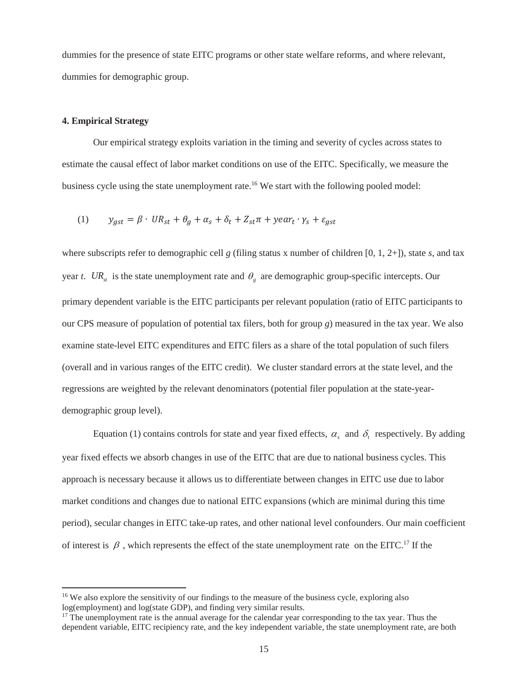dummies for the presence of state EITC programs or other state welfare reforms, and where relevant, dummies for demographic group.

### **4. Empirical Strategy**

 $\overline{a}$ 

Our empirical strategy exploits variation in the timing and severity of cycles across states to estimate the causal effect of labor market conditions on use of the EITC. Specifically, we measure the business cycle using the state unemployment rate.<sup>16</sup> We start with the following pooled model:

(1) 
$$
y_{gst} = \beta \cdot UR_{st} + \theta_g + \alpha_s + \delta_t + Z_{st}\pi + \gamma e a r_t \cdot \gamma_s + \varepsilon_{gst}
$$

where subscripts refer to demographic cell *g* (filing status x number of children [0, 1, 2+]), state *s*, and tax year *t*. UR<sub>st</sub> is the state unemployment rate and  $\theta_g$  are demographic group-specific intercepts. Our primary dependent variable is the EITC participants per relevant population (ratio of EITC participants to our CPS measure of population of potential tax filers, both for group *g*) measured in the tax year. We also examine state-level EITC expenditures and EITC filers as a share of the total population of such filers (overall and in various ranges of the EITC credit). We cluster standard errors at the state level, and the regressions are weighted by the relevant denominators (potential filer population at the state-yeardemographic group level).

Equation (1) contains controls for state and year fixed effects,  $\alpha_s$  and  $\delta_t$  respectively. By adding year fixed effects we absorb changes in use of the EITC that are due to national business cycles. This approach is necessary because it allows us to differentiate between changes in EITC use due to labor market conditions and changes due to national EITC expansions (which are minimal during this time period), secular changes in EITC take-up rates, and other national level confounders. Our main coefficient of interest is  $\beta$ , which represents the effect of the state unemployment rate on the EITC.<sup>17</sup> If the

<sup>&</sup>lt;sup>16</sup> We also explore the sensitivity of our findings to the measure of the business cycle, exploring also log(employment) and log(state GDP), and finding very similar results.

<sup>&</sup>lt;sup>17</sup> The unemployment rate is the annual average for the calendar year corresponding to the tax year. Thus the dependent variable, EITC recipiency rate, and the key independent variable, the state unemployment rate, are both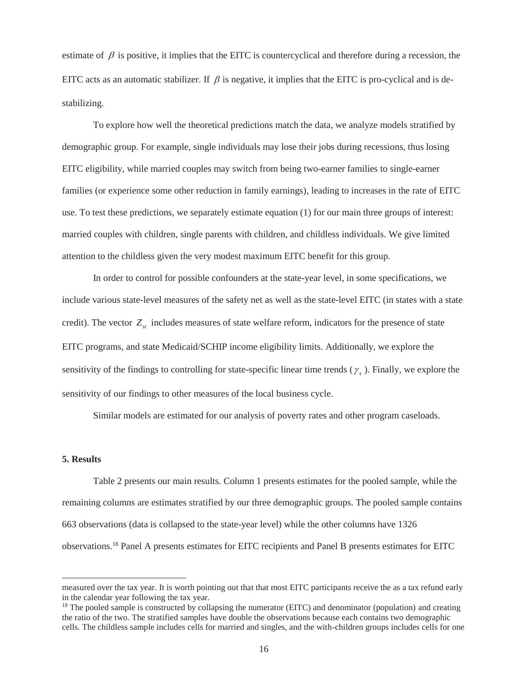estimate of  $\beta$  is positive, it implies that the EITC is countercyclical and therefore during a recession, the EITC acts as an automatic stabilizer. If  $\beta$  is negative, it implies that the EITC is pro-cyclical and is destabilizing.

To explore how well the theoretical predictions match the data, we analyze models stratified by demographic group. For example, single individuals may lose their jobs during recessions, thus losing EITC eligibility, while married couples may switch from being two-earner families to single-earner families (or experience some other reduction in family earnings), leading to increases in the rate of EITC use. To test these predictions, we separately estimate equation (1) for our main three groups of interest: married couples with children, single parents with children, and childless individuals. We give limited attention to the childless given the very modest maximum EITC benefit for this group.

In order to control for possible confounders at the state-year level, in some specifications, we include various state-level measures of the safety net as well as the state-level EITC (in states with a state credit). The vector  $Z_{st}$  includes measures of state welfare reform, indicators for the presence of state EITC programs, and state Medicaid/SCHIP income eligibility limits. Additionally, we explore the sensitivity of the findings to controlling for state-specific linear time trends  $(\gamma_s)$ . Finally, we explore the sensitivity of our findings to other measures of the local business cycle.

Similar models are estimated for our analysis of poverty rates and other program caseloads.

#### **5. Results**

 $\overline{a}$ 

Table 2 presents our main results. Column 1 presents estimates for the pooled sample, while the remaining columns are estimates stratified by our three demographic groups. The pooled sample contains 663 observations (data is collapsed to the state-year level) while the other columns have 1326 observations.18 Panel A presents estimates for EITC recipients and Panel B presents estimates for EITC

measured over the tax year. It is worth pointing out that that most EITC participants receive the as a tax refund early in the calendar year following the tax year.

<sup>&</sup>lt;sup>18</sup> The pooled sample is constructed by collapsing the numerator (EITC) and denominator (population) and creating the ratio of the two. The stratified samples have double the observations because each contains two demographic cells. The childless sample includes cells for married and singles, and the with-children groups includes cells for one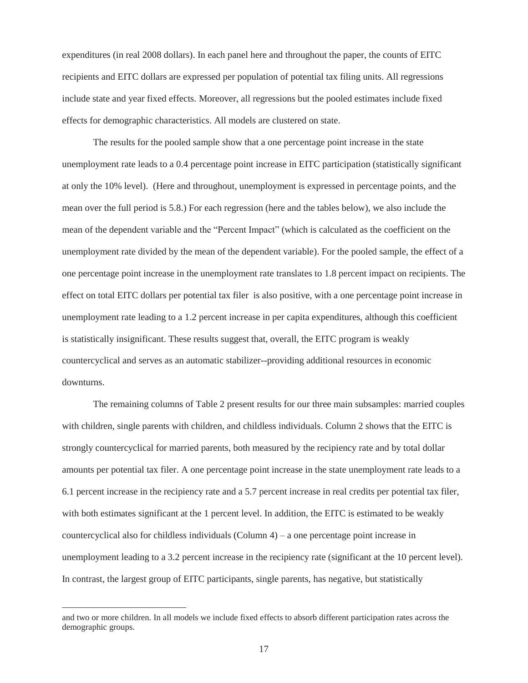expenditures (in real 2008 dollars). In each panel here and throughout the paper, the counts of EITC recipients and EITC dollars are expressed per population of potential tax filing units. All regressions include state and year fixed effects. Moreover, all regressions but the pooled estimates include fixed effects for demographic characteristics. All models are clustered on state.

The results for the pooled sample show that a one percentage point increase in the state unemployment rate leads to a 0.4 percentage point increase in EITC participation (statistically significant at only the 10% level). (Here and throughout, unemployment is expressed in percentage points, and the mean over the full period is 5.8.) For each regression (here and the tables below), we also include the mean of the dependent variable and the "Percent Impact" (which is calculated as the coefficient on the unemployment rate divided by the mean of the dependent variable). For the pooled sample, the effect of a one percentage point increase in the unemployment rate translates to 1.8 percent impact on recipients. The effect on total EITC dollars per potential tax filer is also positive, with a one percentage point increase in unemployment rate leading to a 1.2 percent increase in per capita expenditures, although this coefficient is statistically insignificant. These results suggest that, overall, the EITC program is weakly countercyclical and serves as an automatic stabilizer--providing additional resources in economic downturns.

The remaining columns of Table 2 present results for our three main subsamples: married couples with children, single parents with children, and childless individuals. Column 2 shows that the EITC is strongly countercyclical for married parents, both measured by the recipiency rate and by total dollar amounts per potential tax filer. A one percentage point increase in the state unemployment rate leads to a 6.1 percent increase in the recipiency rate and a 5.7 percent increase in real credits per potential tax filer, with both estimates significant at the 1 percent level. In addition, the EITC is estimated to be weakly countercyclical also for childless individuals (Column 4) – a one percentage point increase in unemployment leading to a 3.2 percent increase in the recipiency rate (significant at the 10 percent level). In contrast, the largest group of EITC participants, single parents, has negative, but statistically

and two or more children. In all models we include fixed effects to absorb different participation rates across the demographic groups.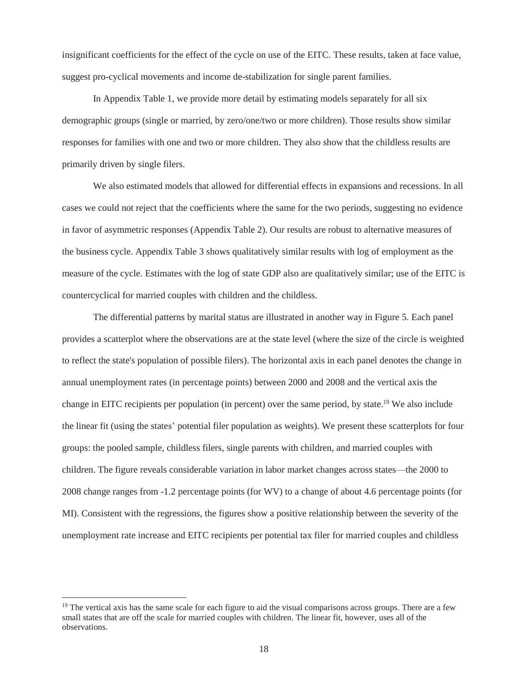insignificant coefficients for the effect of the cycle on use of the EITC. These results, taken at face value, suggest pro-cyclical movements and income de-stabilization for single parent families.

In Appendix Table 1, we provide more detail by estimating models separately for all six demographic groups (single or married, by zero/one/two or more children). Those results show similar responses for families with one and two or more children. They also show that the childless results are primarily driven by single filers.

We also estimated models that allowed for differential effects in expansions and recessions. In all cases we could not reject that the coefficients where the same for the two periods, suggesting no evidence in favor of asymmetric responses (Appendix Table 2). Our results are robust to alternative measures of the business cycle. Appendix Table 3 shows qualitatively similar results with log of employment as the measure of the cycle. Estimates with the log of state GDP also are qualitatively similar; use of the EITC is countercyclical for married couples with children and the childless.

The differential patterns by marital status are illustrated in another way in Figure 5. Each panel provides a scatterplot where the observations are at the state level (where the size of the circle is weighted to reflect the state's population of possible filers). The horizontal axis in each panel denotes the change in annual unemployment rates (in percentage points) between 2000 and 2008 and the vertical axis the change in EITC recipients per population (in percent) over the same period, by state.19 We also include the linear fit (using the states' potential filer population as weights). We present these scatterplots for four groups: the pooled sample, childless filers, single parents with children, and married couples with children. The figure reveals considerable variation in labor market changes across states—the 2000 to 2008 change ranges from -1.2 percentage points (for WV) to a change of about 4.6 percentage points (for MI). Consistent with the regressions, the figures show a positive relationship between the severity of the unemployment rate increase and EITC recipients per potential tax filer for married couples and childless

 $19$  The vertical axis has the same scale for each figure to aid the visual comparisons across groups. There are a few small states that are off the scale for married couples with children. The linear fit, however, uses all of the observations.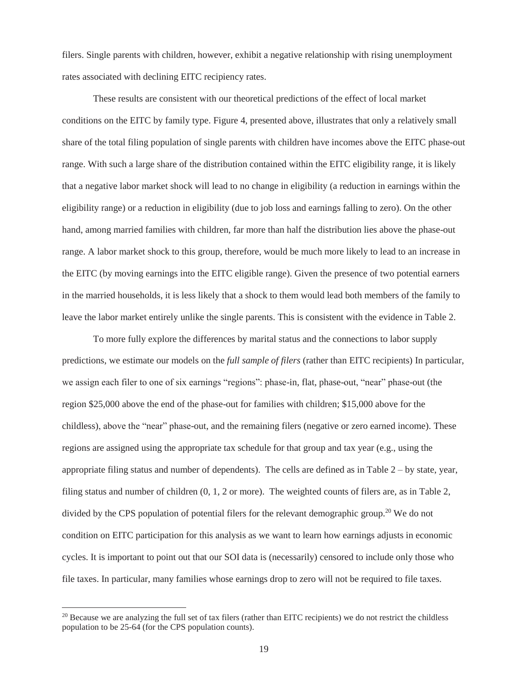filers. Single parents with children, however, exhibit a negative relationship with rising unemployment rates associated with declining EITC recipiency rates.

These results are consistent with our theoretical predictions of the effect of local market conditions on the EITC by family type. Figure 4, presented above, illustrates that only a relatively small share of the total filing population of single parents with children have incomes above the EITC phase-out range. With such a large share of the distribution contained within the EITC eligibility range, it is likely that a negative labor market shock will lead to no change in eligibility (a reduction in earnings within the eligibility range) or a reduction in eligibility (due to job loss and earnings falling to zero). On the other hand, among married families with children, far more than half the distribution lies above the phase-out range. A labor market shock to this group, therefore, would be much more likely to lead to an increase in the EITC (by moving earnings into the EITC eligible range). Given the presence of two potential earners in the married households, it is less likely that a shock to them would lead both members of the family to leave the labor market entirely unlike the single parents. This is consistent with the evidence in Table 2.

To more fully explore the differences by marital status and the connections to labor supply predictions, we estimate our models on the *full sample of filers* (rather than EITC recipients) In particular, we assign each filer to one of six earnings "regions": phase-in, flat, phase-out, "near" phase-out (the region \$25,000 above the end of the phase-out for families with children; \$15,000 above for the childless), above the "near" phase-out, and the remaining filers (negative or zero earned income). These regions are assigned using the appropriate tax schedule for that group and tax year (e.g., using the appropriate filing status and number of dependents). The cells are defined as in Table 2 – by state, year, filing status and number of children (0, 1, 2 or more). The weighted counts of filers are, as in Table 2, divided by the CPS population of potential filers for the relevant demographic group.<sup>20</sup> We do not condition on EITC participation for this analysis as we want to learn how earnings adjusts in economic cycles. It is important to point out that our SOI data is (necessarily) censored to include only those who file taxes. In particular, many families whose earnings drop to zero will not be required to file taxes.

 $20$  Because we are analyzing the full set of tax filers (rather than EITC recipients) we do not restrict the childless population to be 25-64 (for the CPS population counts).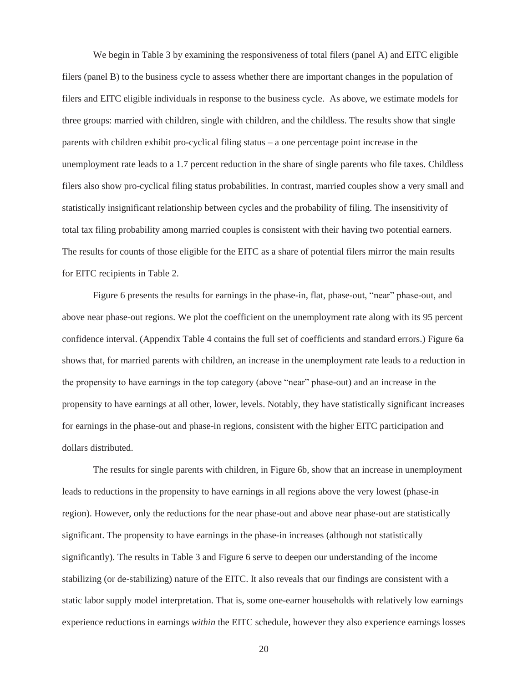We begin in Table 3 by examining the responsiveness of total filers (panel A) and EITC eligible filers (panel B) to the business cycle to assess whether there are important changes in the population of filers and EITC eligible individuals in response to the business cycle. As above, we estimate models for three groups: married with children, single with children, and the childless. The results show that single parents with children exhibit pro-cyclical filing status – a one percentage point increase in the unemployment rate leads to a 1.7 percent reduction in the share of single parents who file taxes. Childless filers also show pro-cyclical filing status probabilities. In contrast, married couples show a very small and statistically insignificant relationship between cycles and the probability of filing. The insensitivity of total tax filing probability among married couples is consistent with their having two potential earners. The results for counts of those eligible for the EITC as a share of potential filers mirror the main results for EITC recipients in Table 2.

Figure 6 presents the results for earnings in the phase-in, flat, phase-out, "near" phase-out, and above near phase-out regions. We plot the coefficient on the unemployment rate along with its 95 percent confidence interval. (Appendix Table 4 contains the full set of coefficients and standard errors.) Figure 6a shows that, for married parents with children, an increase in the unemployment rate leads to a reduction in the propensity to have earnings in the top category (above "near" phase-out) and an increase in the propensity to have earnings at all other, lower, levels. Notably, they have statistically significant increases for earnings in the phase-out and phase-in regions, consistent with the higher EITC participation and dollars distributed.

The results for single parents with children, in Figure 6b, show that an increase in unemployment leads to reductions in the propensity to have earnings in all regions above the very lowest (phase-in region). However, only the reductions for the near phase-out and above near phase-out are statistically significant. The propensity to have earnings in the phase-in increases (although not statistically significantly). The results in Table 3 and Figure 6 serve to deepen our understanding of the income stabilizing (or de-stabilizing) nature of the EITC. It also reveals that our findings are consistent with a static labor supply model interpretation. That is, some one-earner households with relatively low earnings experience reductions in earnings *within* the EITC schedule, however they also experience earnings losses

20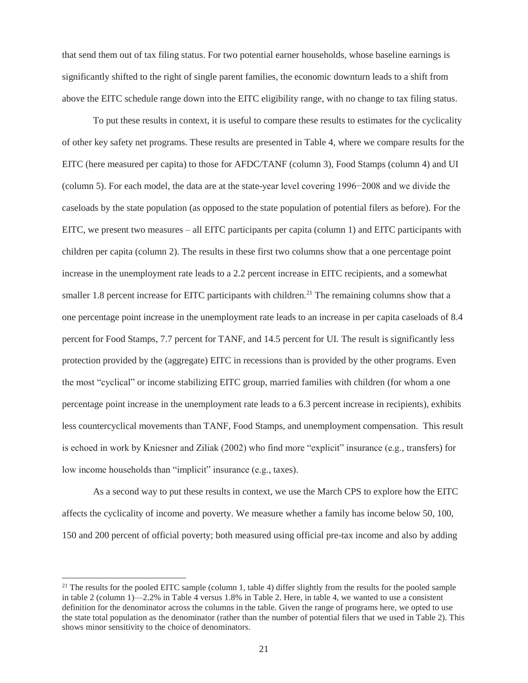that send them out of tax filing status. For two potential earner households, whose baseline earnings is significantly shifted to the right of single parent families, the economic downturn leads to a shift from above the EITC schedule range down into the EITC eligibility range, with no change to tax filing status.

To put these results in context, it is useful to compare these results to estimates for the cyclicality of other key safety net programs. These results are presented in Table 4, where we compare results for the EITC (here measured per capita) to those for AFDC/TANF (column 3), Food Stamps (column 4) and UI (column 5). For each model, the data are at the state-year level covering 1996−2008 and we divide the caseloads by the state population (as opposed to the state population of potential filers as before). For the EITC, we present two measures – all EITC participants per capita (column 1) and EITC participants with children per capita (column 2). The results in these first two columns show that a one percentage point increase in the unemployment rate leads to a 2.2 percent increase in EITC recipients, and a somewhat smaller 1.8 percent increase for EITC participants with children.<sup>21</sup> The remaining columns show that a one percentage point increase in the unemployment rate leads to an increase in per capita caseloads of 8.4 percent for Food Stamps, 7.7 percent for TANF, and 14.5 percent for UI. The result is significantly less protection provided by the (aggregate) EITC in recessions than is provided by the other programs. Even the most "cyclical" or income stabilizing EITC group, married families with children (for whom a one percentage point increase in the unemployment rate leads to a 6.3 percent increase in recipients), exhibits less countercyclical movements than TANF, Food Stamps, and unemployment compensation. This result is echoed in work by Kniesner and Ziliak (2002) who find more "explicit" insurance (e.g., transfers) for low income households than "implicit" insurance (e.g., taxes).

As a second way to put these results in context, we use the March CPS to explore how the EITC affects the cyclicality of income and poverty. We measure whether a family has income below 50, 100, 150 and 200 percent of official poverty; both measured using official pre-tax income and also by adding

 $21$  The results for the pooled EITC sample (column 1, table 4) differ slightly from the results for the pooled sample in table 2 (column 1)—2.2% in Table 4 versus 1.8% in Table 2. Here, in table 4, we wanted to use a consistent definition for the denominator across the columns in the table. Given the range of programs here, we opted to use the state total population as the denominator (rather than the number of potential filers that we used in Table 2). This shows minor sensitivity to the choice of denominators.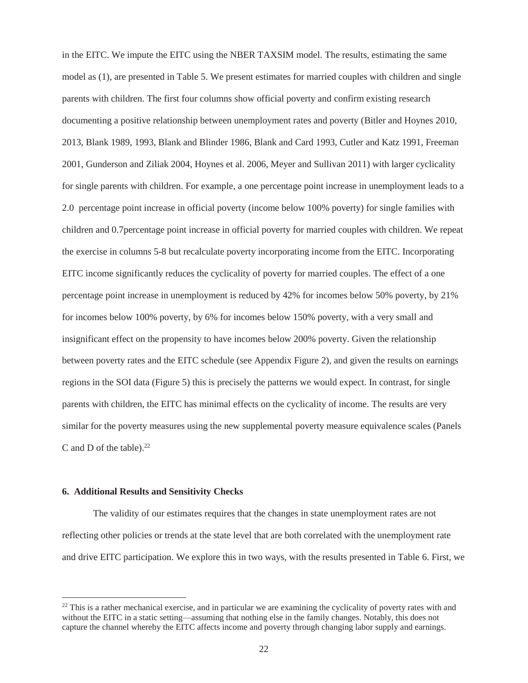in the EITC. We impute the EITC using the NBER TAXSIM model. The results, estimating the same model as (1), are presented in Table 5. We present estimates for married couples with children and single parents with children. The first four columns show official poverty and confirm existing research documenting a positive relationship between unemployment rates and poverty (Bitler and Hoynes 2010, 2013, Blank 1989, 1993, Blank and Blinder 1986, Blank and Card 1993, Cutler and Katz 1991, Freeman 2001, Gunderson and Ziliak 2004, Hoynes et al. 2006, Meyer and Sullivan 2011) with larger cyclicality for single parents with children. For example, a one percentage point increase in unemployment leads to a 2.0 percentage point increase in official poverty (income below 100% poverty) for single families with children and 0.7percentage point increase in official poverty for married couples with children. We repeat the exercise in columns 5-8 but recalculate poverty incorporating income from the EITC. Incorporating EITC income significantly reduces the cyclicality of poverty for married couples. The effect of a one percentage point increase in unemployment is reduced by 42% for incomes below 50% poverty, by 21% for incomes below 100% poverty, by 6% for incomes below 150% poverty, with a very small and insignificant effect on the propensity to have incomes below 200% poverty. Given the relationship between poverty rates and the EITC schedule (see Appendix Figure 2), and given the results on earnings regions in the SOI data (Figure 5) this is precisely the patterns we would expect. In contrast, for single parents with children, the EITC has minimal effects on the cyclicality of income. The results are very similar for the poverty measures using the new supplemental poverty measure equivalence scales (Panels C and D of the table). $22$ 

### **6. Additional Results and Sensitivity Checks**

 $\overline{a}$ 

The validity of our estimates requires that the changes in state unemployment rates are not reflecting other policies or trends at the state level that are both correlated with the unemployment rate and drive EITC participation. We explore this in two ways, with the results presented in Table 6. First, we

 $^{22}$  This is a rather mechanical exercise, and in particular we are examining the cyclicality of poverty rates with and without the EITC in a static setting—assuming that nothing else in the family changes. Notably, this does not capture the channel whereby the EITC affects income and poverty through changing labor supply and earnings.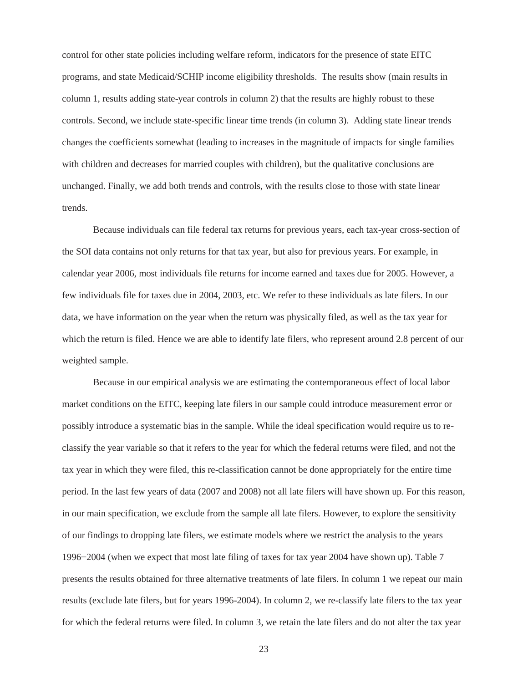control for other state policies including welfare reform, indicators for the presence of state EITC programs, and state Medicaid/SCHIP income eligibility thresholds. The results show (main results in column 1, results adding state-year controls in column 2) that the results are highly robust to these controls. Second, we include state-specific linear time trends (in column 3). Adding state linear trends changes the coefficients somewhat (leading to increases in the magnitude of impacts for single families with children and decreases for married couples with children), but the qualitative conclusions are unchanged. Finally, we add both trends and controls, with the results close to those with state linear trends.

Because individuals can file federal tax returns for previous years, each tax-year cross-section of the SOI data contains not only returns for that tax year, but also for previous years. For example, in calendar year 2006, most individuals file returns for income earned and taxes due for 2005. However, a few individuals file for taxes due in 2004, 2003, etc. We refer to these individuals as late filers. In our data, we have information on the year when the return was physically filed, as well as the tax year for which the return is filed. Hence we are able to identify late filers, who represent around 2.8 percent of our weighted sample.

Because in our empirical analysis we are estimating the contemporaneous effect of local labor market conditions on the EITC, keeping late filers in our sample could introduce measurement error or possibly introduce a systematic bias in the sample. While the ideal specification would require us to reclassify the year variable so that it refers to the year for which the federal returns were filed, and not the tax year in which they were filed, this re-classification cannot be done appropriately for the entire time period. In the last few years of data (2007 and 2008) not all late filers will have shown up. For this reason, in our main specification, we exclude from the sample all late filers. However, to explore the sensitivity of our findings to dropping late filers, we estimate models where we restrict the analysis to the years 1996−2004 (when we expect that most late filing of taxes for tax year 2004 have shown up). Table 7 presents the results obtained for three alternative treatments of late filers. In column 1 we repeat our main results (exclude late filers, but for years 1996-2004). In column 2, we re-classify late filers to the tax year for which the federal returns were filed. In column 3, we retain the late filers and do not alter the tax year

23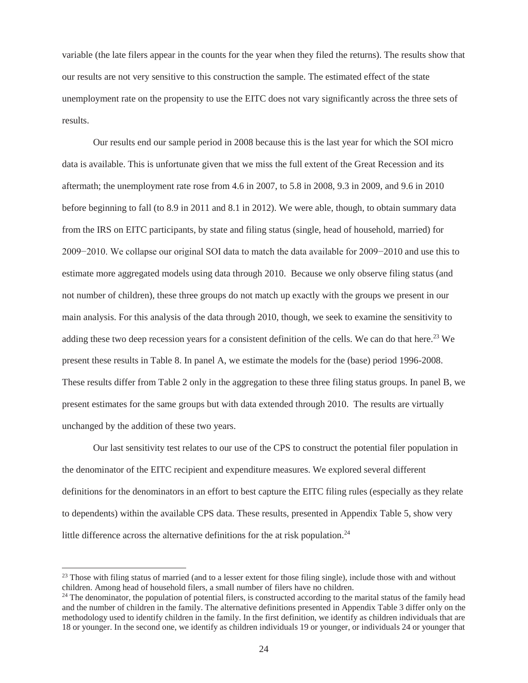variable (the late filers appear in the counts for the year when they filed the returns). The results show that our results are not very sensitive to this construction the sample. The estimated effect of the state unemployment rate on the propensity to use the EITC does not vary significantly across the three sets of results.

Our results end our sample period in 2008 because this is the last year for which the SOI micro data is available. This is unfortunate given that we miss the full extent of the Great Recession and its aftermath; the unemployment rate rose from 4.6 in 2007, to 5.8 in 2008, 9.3 in 2009, and 9.6 in 2010 before beginning to fall (to 8.9 in 2011 and 8.1 in 2012). We were able, though, to obtain summary data from the IRS on EITC participants, by state and filing status (single, head of household, married) for 2009−2010. We collapse our original SOI data to match the data available for 2009−2010 and use this to estimate more aggregated models using data through 2010. Because we only observe filing status (and not number of children), these three groups do not match up exactly with the groups we present in our main analysis. For this analysis of the data through 2010, though, we seek to examine the sensitivity to adding these two deep recession years for a consistent definition of the cells. We can do that here.<sup>23</sup> We present these results in Table 8. In panel A, we estimate the models for the (base) period 1996-2008. These results differ from Table 2 only in the aggregation to these three filing status groups. In panel B, we present estimates for the same groups but with data extended through 2010. The results are virtually unchanged by the addition of these two years.

Our last sensitivity test relates to our use of the CPS to construct the potential filer population in the denominator of the EITC recipient and expenditure measures. We explored several different definitions for the denominators in an effort to best capture the EITC filing rules (especially as they relate to dependents) within the available CPS data. These results, presented in Appendix Table 5, show very little difference across the alternative definitions for the at risk population.<sup>24</sup>

<sup>&</sup>lt;sup>23</sup> Those with filing status of married (and to a lesser extent for those filing single), include those with and without children. Among head of household filers, a small number of filers have no children.

<sup>&</sup>lt;sup>24</sup> The denominator, the population of potential filers, is constructed according to the marital status of the family head and the number of children in the family. The alternative definitions presented in Appendix Table 3 differ only on the methodology used to identify children in the family. In the first definition, we identify as children individuals that are 18 or younger. In the second one, we identify as children individuals 19 or younger, or individuals 24 or younger that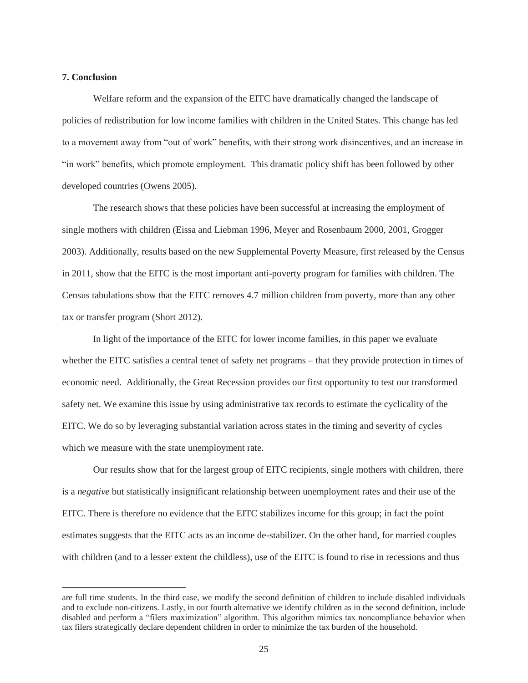## **7. Conclusion**

 $\overline{a}$ 

 Welfare reform and the expansion of the EITC have dramatically changed the landscape of policies of redistribution for low income families with children in the United States. This change has led to a movement away from "out of work" benefits, with their strong work disincentives, and an increase in "in work" benefits, which promote employment. This dramatic policy shift has been followed by other developed countries (Owens 2005).

The research shows that these policies have been successful at increasing the employment of single mothers with children (Eissa and Liebman 1996, Meyer and Rosenbaum 2000, 2001, Grogger 2003). Additionally, results based on the new Supplemental Poverty Measure, first released by the Census in 2011, show that the EITC is the most important anti-poverty program for families with children. The Census tabulations show that the EITC removes 4.7 million children from poverty, more than any other tax or transfer program (Short 2012).

 In light of the importance of the EITC for lower income families, in this paper we evaluate whether the EITC satisfies a central tenet of safety net programs – that they provide protection in times of economic need. Additionally, the Great Recession provides our first opportunity to test our transformed safety net. We examine this issue by using administrative tax records to estimate the cyclicality of the EITC. We do so by leveraging substantial variation across states in the timing and severity of cycles which we measure with the state unemployment rate.

 Our results show that for the largest group of EITC recipients, single mothers with children, there is a *negative* but statistically insignificant relationship between unemployment rates and their use of the EITC. There is therefore no evidence that the EITC stabilizes income for this group; in fact the point estimates suggests that the EITC acts as an income de-stabilizer. On the other hand, for married couples with children (and to a lesser extent the childless), use of the EITC is found to rise in recessions and thus

are full time students. In the third case, we modify the second definition of children to include disabled individuals and to exclude non-citizens. Lastly, in our fourth alternative we identify children as in the second definition, include disabled and perform a "filers maximization" algorithm. This algorithm mimics tax noncompliance behavior when tax filers strategically declare dependent children in order to minimize the tax burden of the household.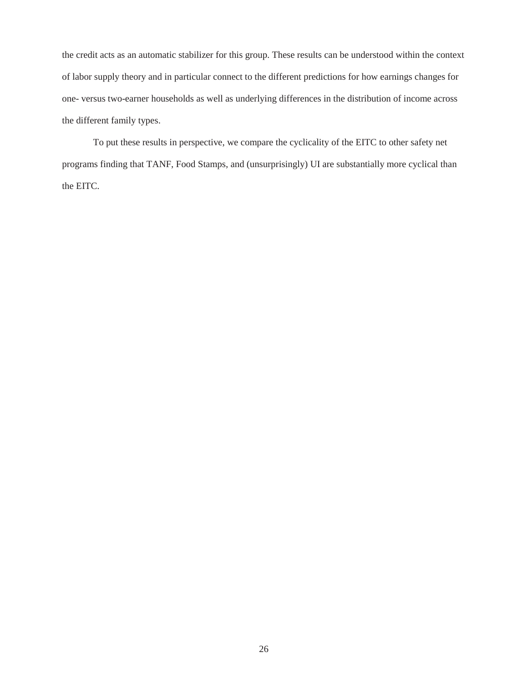the credit acts as an automatic stabilizer for this group. These results can be understood within the context of labor supply theory and in particular connect to the different predictions for how earnings changes for one- versus two-earner households as well as underlying differences in the distribution of income across the different family types.

 To put these results in perspective, we compare the cyclicality of the EITC to other safety net programs finding that TANF, Food Stamps, and (unsurprisingly) UI are substantially more cyclical than the EITC.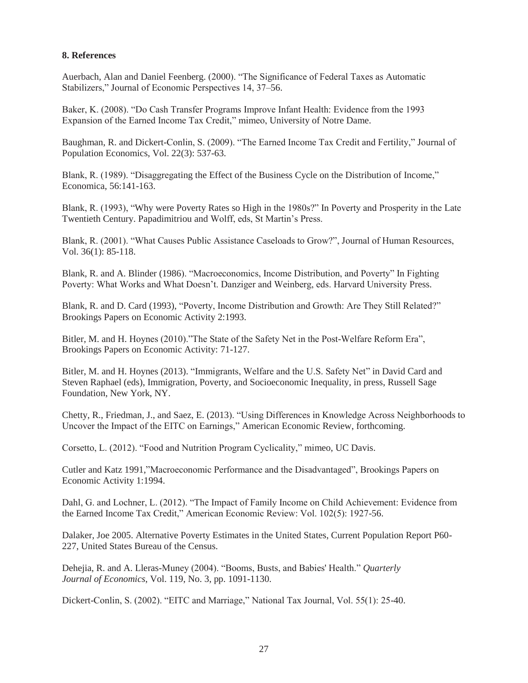# **8. References**

Auerbach, Alan and Daniel Feenberg. (2000). "The Significance of Federal Taxes as Automatic Stabilizers," Journal of Economic Perspectives 14, 37–56.

Baker, K. (2008). "Do Cash Transfer Programs Improve Infant Health: Evidence from the 1993 Expansion of the Earned Income Tax Credit," mimeo, University of Notre Dame.

Baughman, R. and Dickert-Conlin, S. (2009). "The Earned Income Tax Credit and Fertility," Journal of Population Economics, Vol. 22(3): 537-63.

Blank, R. (1989). "Disaggregating the Effect of the Business Cycle on the Distribution of Income," Economica, 56:141-163.

Blank, R. (1993), "Why were Poverty Rates so High in the 1980s?" In Poverty and Prosperity in the Late Twentieth Century. Papadimitriou and Wolff, eds, St Martin's Press.

Blank, R. (2001). "What Causes Public Assistance Caseloads to Grow?", Journal of Human Resources, Vol. 36(1): 85-118.

Blank, R. and A. Blinder (1986). "Macroeconomics, Income Distribution, and Poverty" In Fighting Poverty: What Works and What Doesn't. Danziger and Weinberg, eds. Harvard University Press.

Blank, R. and D. Card (1993), "Poverty, Income Distribution and Growth: Are They Still Related?" Brookings Papers on Economic Activity 2:1993.

Bitler, M. and H. Hoynes (2010)."The State of the Safety Net in the Post-Welfare Reform Era", Brookings Papers on Economic Activity: 71-127.

Bitler, M. and H. Hoynes (2013). "Immigrants, Welfare and the U.S. Safety Net" in David Card and Steven Raphael (eds), Immigration, Poverty, and Socioeconomic Inequality, in press, Russell Sage Foundation, New York, NY.

Chetty, R., Friedman, J., and Saez, E. (2013). "Using Differences in Knowledge Across Neighborhoods to Uncover the Impact of the EITC on Earnings," American Economic Review, forthcoming.

Corsetto, L. (2012). "Food and Nutrition Program Cyclicality," mimeo, UC Davis.

Cutler and Katz 1991,"Macroeconomic Performance and the Disadvantaged", Brookings Papers on Economic Activity 1:1994.

Dahl, G. and Lochner, L. (2012). "The Impact of Family Income on Child Achievement: Evidence from the Earned Income Tax Credit," American Economic Review: Vol. 102(5): 1927-56.

Dalaker, Joe 2005. Alternative Poverty Estimates in the United States, Current Population Report P60- 227, United States Bureau of the Census.

Dehejia, R. and A. Lleras-Muney (2004). "Booms, Busts, and Babies' Health." *Quarterly Journal of Economics*, Vol. 119, No. 3, pp. 1091-1130.

Dickert-Conlin, S. (2002). "EITC and Marriage," National Tax Journal, Vol. 55(1): 25-40.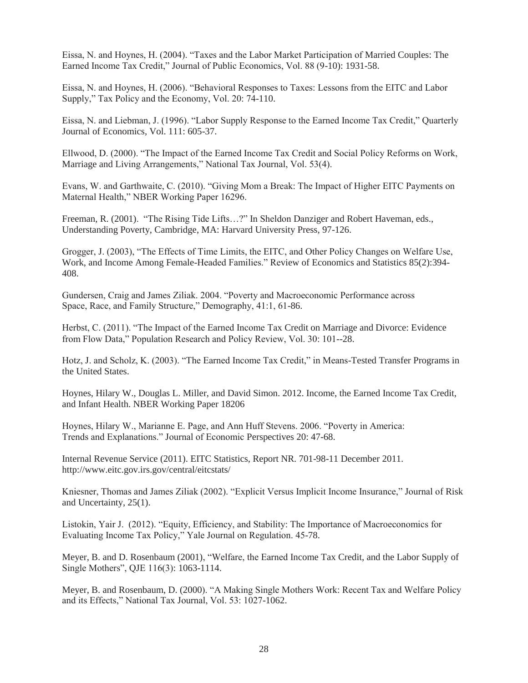Eissa, N. and Hoynes, H. (2004). "Taxes and the Labor Market Participation of Married Couples: The Earned Income Tax Credit," Journal of Public Economics, Vol. 88 (9-10): 1931-58.

Eissa, N. and Hoynes, H. (2006). "Behavioral Responses to Taxes: Lessons from the EITC and Labor Supply," Tax Policy and the Economy, Vol. 20: 74-110.

Eissa, N. and Liebman, J. (1996). "Labor Supply Response to the Earned Income Tax Credit," Quarterly Journal of Economics, Vol. 111: 605-37.

Ellwood, D. (2000). "The Impact of the Earned Income Tax Credit and Social Policy Reforms on Work, Marriage and Living Arrangements," National Tax Journal, Vol. 53(4).

Evans, W. and Garthwaite, C. (2010). "Giving Mom a Break: The Impact of Higher EITC Payments on Maternal Health," NBER Working Paper 16296.

Freeman, R. (2001). "The Rising Tide Lifts…?" In Sheldon Danziger and Robert Haveman, eds., Understanding Poverty, Cambridge, MA: Harvard University Press, 97-126.

Grogger, J. (2003), "The Effects of Time Limits, the EITC, and Other Policy Changes on Welfare Use, Work, and Income Among Female-Headed Families." Review of Economics and Statistics 85(2):394- 408.

Gundersen, Craig and James Ziliak. 2004. "Poverty and Macroeconomic Performance across Space, Race, and Family Structure," Demography, 41:1, 61-86.

Herbst, C. (2011). "The Impact of the Earned Income Tax Credit on Marriage and Divorce: Evidence from Flow Data," Population Research and Policy Review, Vol. 30: 101--28.

Hotz, J. and Scholz, K. (2003). "The Earned Income Tax Credit," in Means-Tested Transfer Programs in the United States.

Hoynes, Hilary W., Douglas L. Miller, and David Simon. 2012. Income, the Earned Income Tax Credit, and Infant Health. NBER Working Paper 18206

Hoynes, Hilary W., Marianne E. Page, and Ann Huff Stevens. 2006. "Poverty in America: Trends and Explanations." Journal of Economic Perspectives 20: 47-68.

Internal Revenue Service (2011). EITC Statistics, Report NR. 701-98-11 December 2011. http://www.eitc.gov.irs.gov/central/eitcstats/

Kniesner, Thomas and James Ziliak (2002). "Explicit Versus Implicit Income Insurance," Journal of Risk and Uncertainty, 25(1).

Listokin, Yair J. (2012). "Equity, Efficiency, and Stability: The Importance of Macroeconomics for Evaluating Income Tax Policy," Yale Journal on Regulation. 45-78.

Meyer, B. and D. Rosenbaum (2001), "Welfare, the Earned Income Tax Credit, and the Labor Supply of Single Mothers", QJE 116(3): 1063-1114.

Meyer, B. and Rosenbaum, D. (2000). "A Making Single Mothers Work: Recent Tax and Welfare Policy and its Effects," National Tax Journal, Vol. 53: 1027-1062.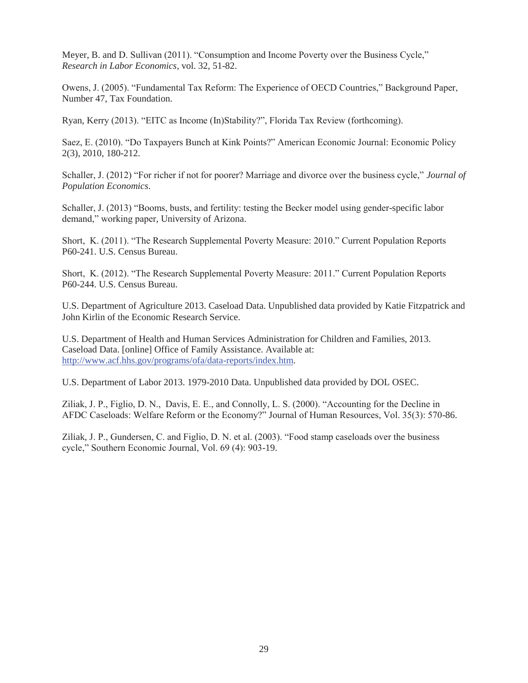Meyer, B. and D. Sullivan (2011). "Consumption and Income Poverty over the Business Cycle," *Research in Labor Economics*, vol. 32, 51-82.

Owens, J. (2005). "Fundamental Tax Reform: The Experience of OECD Countries," Background Paper, Number 47, Tax Foundation.

Ryan, Kerry (2013). "EITC as Income (In)Stability?", Florida Tax Review (forthcoming).

Saez, E. (2010). "Do Taxpayers Bunch at Kink Points?" American Economic Journal: Economic Policy 2(3), 2010, 180-212.

Schaller, J. (2012) "For richer if not for poorer? Marriage and divorce over the business cycle," *Journal of Population Economics*.

Schaller, J. (2013) "Booms, busts, and fertility: testing the Becker model using gender-specific labor demand," working paper, University of Arizona.

Short, K. (2011). "The Research Supplemental Poverty Measure: 2010." Current Population Reports P60-241. U.S. Census Bureau.

Short, K. (2012). "The Research Supplemental Poverty Measure: 2011." Current Population Reports P60-244. U.S. Census Bureau.

U.S. Department of Agriculture 2013. Caseload Data. Unpublished data provided by Katie Fitzpatrick and John Kirlin of the Economic Research Service.

U.S. Department of Health and Human Services Administration for Children and Families, 2013. Caseload Data. [online] Office of Family Assistance. Available at: http://www.acf.hhs.gov/programs/ofa/data-reports/index.htm.

U.S. Department of Labor 2013. 1979-2010 Data. Unpublished data provided by DOL OSEC.

Ziliak, J. P., Figlio, D. N., Davis, E. E., and Connolly, L. S. (2000). "Accounting for the Decline in AFDC Caseloads: Welfare Reform or the Economy?" Journal of Human Resources, Vol. 35(3): 570-86.

Ziliak, J. P., Gundersen, C. and Figlio, D. N. et al. (2003). "Food stamp caseloads over the business cycle," Southern Economic Journal, Vol. 69 (4): 903-19.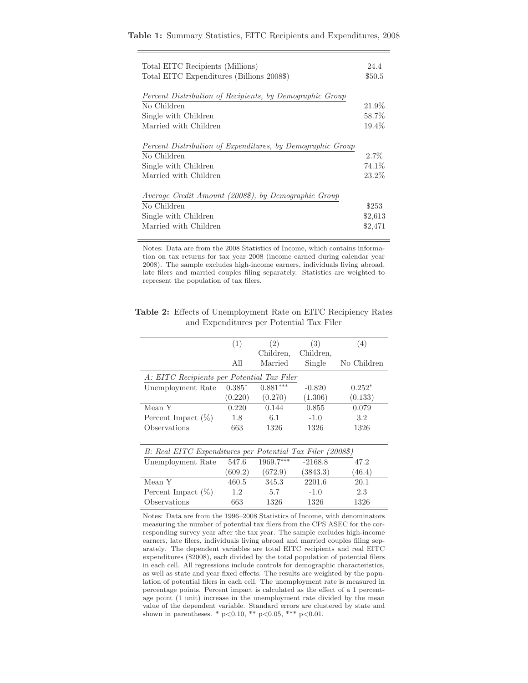|  |  |  |  |  |  |  | Table 1: Summary Statistics, EITC Recipients and Expenditures, 2008 |  |
|--|--|--|--|--|--|--|---------------------------------------------------------------------|--|
|--|--|--|--|--|--|--|---------------------------------------------------------------------|--|

| Total EITC Recipients (Millions)                                        | 24.4    |
|-------------------------------------------------------------------------|---------|
| Total EITC Expenditures (Billions 2008\$)                               | \$50.5  |
|                                                                         |         |
| Percent Distribution of Recipients, by Demographic Group<br>No Children | 21.9%   |
| Single with Children                                                    | 58.7%   |
| Married with Children                                                   | 19.4%   |
|                                                                         |         |
| Percent Distribution of Expenditures, by Demographic Group              |         |
| No Children                                                             | $2.7\%$ |
| Single with Children                                                    | 74.1%   |
| Married with Children                                                   | 23.2%   |
|                                                                         |         |
| Average Credit Amount (2008\$), by Demographic Group                    |         |
| No Children                                                             | \$253   |
| Single with Children                                                    | \$2,613 |
| Married with Children                                                   | \$2,471 |
|                                                                         |         |

Notes: Data are from the 2008 Statistics of Income, which contains information on tax returns for tax year 2008 (income earned during calendar year 2008). The sample excludes high-income earners, individuals living abroad, late filers and married couples filing separately. Statistics are weighted to represent the population of tax filers.

**Table 2:** Effects of Unemployment Rate on EITC Recipiency Rates and Expenditures per Potential Tax Filer

|                                                            | (1)      | (2)        | (3)       | (4)         |  |  |  |
|------------------------------------------------------------|----------|------------|-----------|-------------|--|--|--|
|                                                            |          | Children,  | Children, |             |  |  |  |
|                                                            | All      | Married    | Single    | No Children |  |  |  |
| A: EITC Recipients per Potential Tax Filer                 |          |            |           |             |  |  |  |
| Unemployment Rate                                          | $0.385*$ | $0.881***$ | $-0.820$  | $0.252*$    |  |  |  |
|                                                            | (0.220)  | (0.270)    | (1.306)   | (0.133)     |  |  |  |
| Mean Y                                                     | 0.220    | 0.144      | 0.855     | 0.079       |  |  |  |
| Percent Impact $(\%)$                                      | 1.8      | 6.1        | $-1.0$    | 3.2         |  |  |  |
| Observations                                               | 663      | 1326       | 1326      | 1326        |  |  |  |
|                                                            |          |            |           |             |  |  |  |
| B: Real EITC Expenditures per Potential Tax Filer (2008\$) |          |            |           |             |  |  |  |
| Unemployment Rate                                          | 547.6    | 1969.7***  | $-2168.8$ | 47.2        |  |  |  |
|                                                            | (609.2)  | (672.9)    | (3843.3)  | (46.4)      |  |  |  |
| Mean Y                                                     | 460.5    | 345.3      | 2201.6    | 20.1        |  |  |  |
| Percent Impact $(\%)$                                      | 1.2      | 5.7        | $-1.0$    | 2.3         |  |  |  |
| Observations                                               | 663      | 1326       | 1326      | 1326        |  |  |  |

Notes: Data are from the 1996–2008 Statistics of Income, with denominators measuring the number of potential tax filers from the CPS ASEC for the corresponding survey year after the tax year. The sample excludes high-income earners, late filers, individuals living abroad and married couples filing separately. The dependent variables are total EITC recipients and real EITC expenditures (\$2008), each divided by the total population of potential filers in each cell. All regressions include controls for demographic characteristics, as well as state and year fixed effects. The results are weighted by the population of potential filers in each cell. The unemployment rate is measured in percentage points. Percent impact is calculated as the effect of a 1 percentage point (1 unit) increase in the unemployment rate divided by the mean value of the dependent variable. Standard errors are clustered by state and shown in parentheses. \*  $p<0.10$ , \*\*  $p<0.05$ , \*\*\*  $p<0.01$ .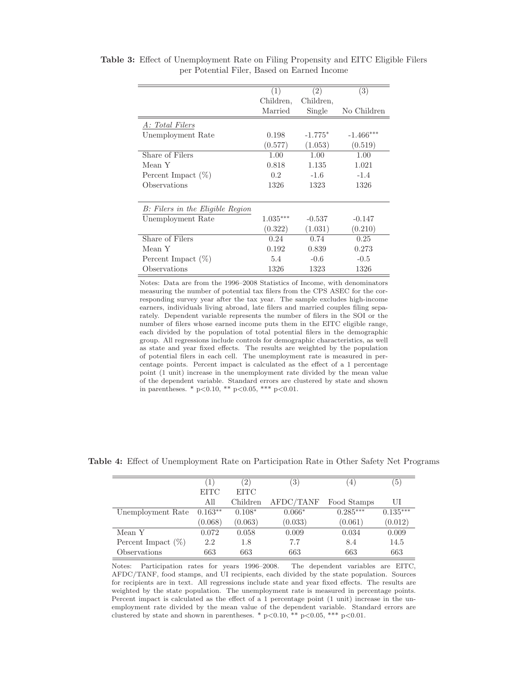|                                  | (1)        | (2)       | (3)         |
|----------------------------------|------------|-----------|-------------|
|                                  | Children,  | Children, |             |
|                                  | Married    | Single    | No Children |
| A: Total Filers                  |            |           |             |
| Unemployment Rate                | 0.198      | $-1.775*$ | $-1.466***$ |
|                                  | (0.577)    | (1.053)   | (0.519)     |
| Share of Filers                  | 1.00       | 1.00      | 1.00        |
| Mean Y                           | 0.818      | 1.135     | 1.021       |
| Percent Impact $(\%)$            | 0.2        | $-1.6$    | $-1.4$      |
| Observations                     | 1326       | 1323      | 1326        |
|                                  |            |           |             |
| B: Filers in the Eligible Region |            |           |             |
| Unemployment Rate                | $1.035***$ | $-0.537$  | $-0.147$    |
|                                  | (0.322)    | (1.031)   | (0.210)     |
| Share of Filers                  | 0.24       | 0.74      | 0.25        |
| Mean Y                           | 0.192      | 0.839     | 0.273       |
| Percent Impact (%)               | 5.4        | $-0.6$    | $-0.5$      |
| Observations                     | 1326       | 1323      | 1326        |

**Table 3:** Effect of Unemployment Rate on Filing Propensity and EITC Eligible Filers per Potential Filer, Based on Earned Income

Notes: Data are from the 1996–2008 Statistics of Income, with denominators measuring the number of potential tax filers from the CPS ASEC for the corresponding survey year after the tax year. The sample excludes high-income earners, individuals living abroad, late filers and married couples filing separately. Dependent variable represents the number of filers in the SOI or the number of filers whose earned income puts them in the EITC eligible range, each divided by the population of total potential filers in the demographic group. All regressions include controls for demographic characteristics, as well as state and year fixed effects. The results are weighted by the population of potential filers in each cell. The unemployment rate is measured in percentage points. Percent impact is calculated as the effect of a 1 percentage point (1 unit) increase in the unemployment rate divided by the mean value of the dependent variable. Standard errors are clustered by state and shown in parentheses. \*  $p<0.10$ , \*\*  $p<0.05$ , \*\*\*  $p<0.01$ .

|                       | $\left  \right $ | $^{\prime}2)$ | $^{\prime}3)$ | $\overline{4}$ | '5)        |
|-----------------------|------------------|---------------|---------------|----------------|------------|
|                       | <b>EITC</b>      | <b>EITC</b>   |               |                |            |
|                       | All              | Children      | AFDC/TANF     | Food Stamps    | UI         |
| Unemployment Rate     | $0.163**$        | $0.108*$      | $0.066*$      | $0.285***$     | $0.135***$ |
|                       | (0.068)          | (0.063)       | (0.033)       | (0.061)        | (0.012)    |
| Mean Y                | 0.072            | 0.058         | 0.009         | 0.034          | 0.009      |
| Percent Impact $(\%)$ | 2.2              | 1.8           | 7.7           | 8.4            | 14.5       |
| Observations          | 663              | 663           | 663           | 663            | 663        |

**Table 4:** Effect of Unemployment Rate on Participation Rate in Other Safety Net Programs

Notes: Participation rates for years 1996–2008. The dependent variables are EITC, AFDC/TANF, food stamps, and UI recipients, each divided by the state population. Sources for recipients are in text. All regressions include state and year fixed effects. The results are weighted by the state population. The unemployment rate is measured in percentage points. Percent impact is calculated as the effect of a 1 percentage point (1 unit) increase in the unemployment rate divided by the mean value of the dependent variable. Standard errors are clustered by state and shown in parentheses. \* p<0.10, \*\* p<0.05, \*\*\* p<0.01.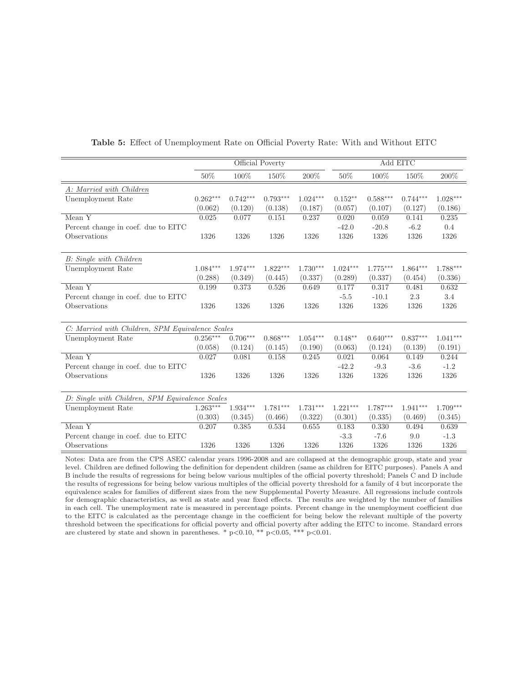|                                                  | Official Poverty |            |            | Add EITC   |            |            |            |            |
|--------------------------------------------------|------------------|------------|------------|------------|------------|------------|------------|------------|
|                                                  | 50%              | 100%       | 150%       | 200%       | 50%        | 100%       | 150%       | 200%       |
| A: Married with Children                         |                  |            |            |            |            |            |            |            |
| Unemployment Rate                                | $0.262***$       | $0.742***$ | $0.793***$ | $1.024***$ | $0.152**$  | $0.588***$ | $0.744***$ | $1.028***$ |
|                                                  | (0.062)          | (0.120)    | (0.138)    | (0.187)    | (0.057)    | (0.107)    | (0.127)    | (0.186)    |
| Mean $Y$                                         | 0.025            | 0.077      | 0.151      | 0.237      | 0.020      | 0.059      | 0.141      | 0.235      |
| Percent change in coef. due to EITC              |                  |            |            |            | $-42.0$    | $-20.8$    | $-6.2$     | 0.4        |
| Observations                                     | 1326             | 1326       | 1326       | 1326       | 1326       | 1326       | 1326       | 1326       |
|                                                  |                  |            |            |            |            |            |            |            |
| B: Single with Children                          |                  |            |            |            |            |            |            |            |
| Unemployment Rate                                | $1.084***$       | $1.974***$ | $1.822***$ | $1.730***$ | $1.024***$ | $1.775***$ | $1.864***$ | $1.788***$ |
|                                                  | (0.288)          | (0.349)    | (0.445)    | (0.337)    | (0.289)    | (0.337)    | (0.454)    | (0.336)    |
| Mean Y                                           | 0.199            | 0.373      | 0.526      | 0.649      | 0.177      | 0.317      | 0.481      | 0.632      |
| Percent change in coef. due to EITC              |                  |            |            |            | $-5.5$     | $-10.1$    | 2.3        | 3.4        |
| Observations                                     | 1326             | 1326       | 1326       | 1326       | 1326       | 1326       | 1326       | 1326       |
|                                                  |                  |            |            |            |            |            |            |            |
| C: Married with Children, SPM Equivalence Scales |                  |            |            |            |            |            |            |            |
| Unemployment Rate                                | $0.256***$       | $0.706***$ | $0.868***$ | $1.054***$ | $0.148**$  | $0.640***$ | $0.837***$ | $1.041***$ |
|                                                  | (0.058)          | (0.124)    | (0.145)    | (0.190)    | (0.063)    | (0.124)    | (0.139)    | (0.191)    |
| Mean Y                                           | 0.027            | 0.081      | 0.158      | 0.245      | 0.021      | 0.064      | 0.149      | 0.244      |
| Percent change in coef. due to EITC              |                  |            |            |            | $-42.2$    | $-9.3$     | $-3.6$     | $-1.2$     |
| Observations                                     | 1326             | 1326       | 1326       | 1326       | 1326       | 1326       | 1326       | 1326       |
|                                                  |                  |            |            |            |            |            |            |            |
| D: Single with Children, SPM Equivalence Scales  |                  |            |            |            |            |            |            |            |
| Unemployment Rate                                | $1.263***$       | $1.934***$ | $1.781***$ | $1.731***$ | $1.221***$ | $1.787***$ | $1.941***$ | $1.709***$ |
|                                                  | (0.303)          | (0.345)    | (0.466)    | (0.322)    | (0.301)    | (0.335)    | (0.469)    | (0.345)    |
| Mean Y                                           | 0.207            | 0.385      | 0.534      | 0.655      | 0.183      | 0.330      | 0.494      | 0.639      |
| Percent change in coef. due to EITC              |                  |            |            |            | $-3.3$     | $-7.6$     | 9.0        | $-1.3$     |
| Observations                                     | 1326             | 1326       | 1326       | 1326       | 1326       | 1326       | 1326       | 1326       |

#### **Table 5:** Effect of Unemployment Rate on Official Poverty Rate: With and Without EITC

Notes: Data are from the CPS ASEC calendar years 1996-2008 and are collapsed at the demographic group, state and year level. Children are defined following the definition for dependent children (same as children for EITC purposes). Panels A and B include the results of regressions for being below various multiples of the official poverty threshold; Panels C and D include the results of regressions for being below various multiples of the official poverty threshold for a family of 4 but incorporate the equivalence scales for families of different sizes from the new Supplemental Poverty Measure. All regressions include controls for demographic characteristics, as well as state and year fixed effects. The results are weighted by the number of families in each cell. The unemployment rate is measured in percentage points. Percent change in the unemployment coefficient due to the EITC is calculated as the percentage change in the coefficient for being below the relevant multiple of the poverty threshold between the specifications for official poverty and official poverty after adding the EITC to income. Standard errors are clustered by state and shown in parentheses. \*  $p \le 0.10$ , \*\*  $p \le 0.05$ , \*\*\*  $p \le 0.01$ .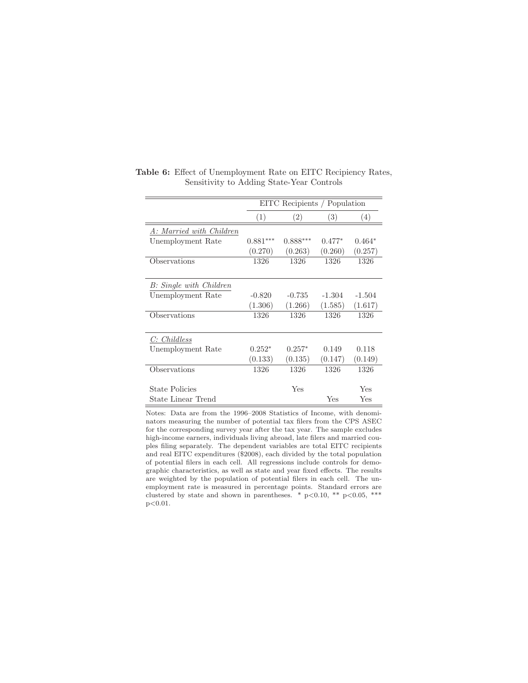|                          |            | EITC Recipients / Population |          |          |  |  |  |
|--------------------------|------------|------------------------------|----------|----------|--|--|--|
|                          | (1)        | (2)                          | (3)      | (4)      |  |  |  |
| A: Married with Children |            |                              |          |          |  |  |  |
| Unemployment Rate        | $0.881***$ | $0.888***$                   | $0.477*$ | $0.464*$ |  |  |  |
|                          | (0.270)    | (0.263)                      | (0.260)  | (0.257)  |  |  |  |
| Observations             | 1326       | 1326                         | 1326     | 1326     |  |  |  |
|                          |            |                              |          |          |  |  |  |
| B: Single with Children  |            |                              |          |          |  |  |  |
| Unemployment Rate        | $-0.820$   | $-0.735$                     | $-1.304$ | $-1.504$ |  |  |  |
|                          | (1.306)    | (1.266)                      | (1.585)  | (1.617)  |  |  |  |
| Observations             | 1326       | 1326                         | 1326     | 1326     |  |  |  |
|                          |            |                              |          |          |  |  |  |
| C: Childless             |            |                              |          |          |  |  |  |
| Unemployment Rate        | $0.252*$   | $0.257*$                     | 0.149    | 0.118    |  |  |  |
|                          | (0.133)    | (0.135)                      | (0.147)  | (0.149)  |  |  |  |
| Observations             | 1326       | 1326                         | 1326     | 1326     |  |  |  |
|                          |            |                              |          |          |  |  |  |
| State Policies           |            | Yes                          |          | Yes      |  |  |  |
| State Linear Trend       |            |                              | Yes      | Yes      |  |  |  |

**Table 6:** Effect of Unemployment Rate on EITC Recipiency Rates, Sensitivity to Adding State-Year Controls

Notes: Data are from the 1996–2008 Statistics of Income, with denominators measuring the number of potential tax filers from the CPS ASEC for the corresponding survey year after the tax year. The sample excludes high-income earners, individuals living abroad, late filers and married couples filing separately. The dependent variables are total EITC recipients and real EITC expenditures (\$2008), each divided by the total population of potential filers in each cell. All regressions include controls for demographic characteristics, as well as state and year fixed effects. The results are weighted by the population of potential filers in each cell. The unemployment rate is measured in percentage points. Standard errors are clustered by state and shown in parentheses. \*  $p<0.10$ , \*\*  $p<0.05$ , \*\*\* p<0.01.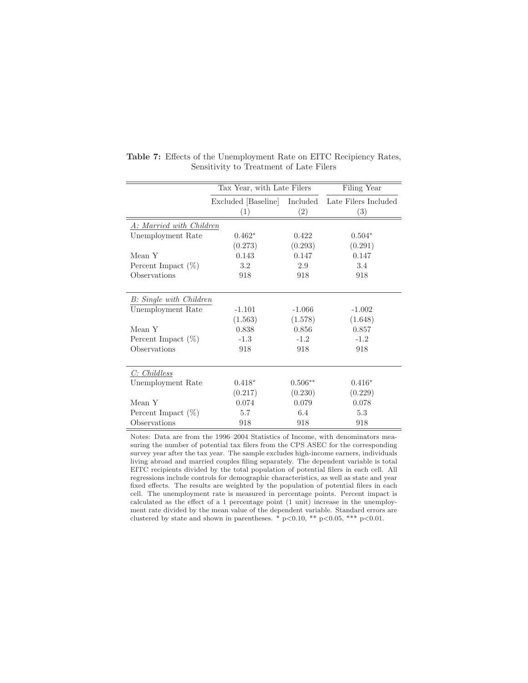|                          | Tax Year, with Late Filers |                 | Filing Year                 |
|--------------------------|----------------------------|-----------------|-----------------------------|
|                          | Excluded [Baseline]<br>(1) | Included<br>(2) | Late Filers Included<br>(3) |
| A: Married with Children |                            |                 |                             |
| Unemployment Rate        | $0.462*$                   | 0.422           | $0.504*$                    |
|                          | (0.273)                    | (0.293)         | (0.291)                     |
| Mean Y                   | 0.143                      | 0.147           | 0.147                       |
| Percent Impact $(\%)$    | 3.2                        | 2.9             | 3.4                         |
| Observations             | 918                        | 918             | 918                         |
|                          |                            |                 |                             |
| B: Single with Children  |                            |                 |                             |
| Unemployment Rate        | $-1.101$                   | $-1.066$        | $-1.002$                    |
|                          | (1.563)                    | (1.578)         | (1.648)                     |
| Mean Y                   | 0.838                      | 0.856           | 0.857                       |
| Percent Impact $(\%)$    | $-1.3$                     | $-1.2$          | $-1.2$                      |
| Observations             | 918                        | 918             | 918                         |
|                          |                            |                 |                             |
| C: Childless             |                            |                 |                             |
| Unemployment Rate        | $0.418*$                   | $0.506**$       | $0.416*$                    |
|                          | (0.217)                    | (0.230)         | (0.229)                     |
| Mean Y                   | 0.074                      | 0.079           | 0.078                       |
| Percent Impact $(\%)$    | 5.7                        | 6.4             | 5.3                         |
| Observations             | 918                        | 918             | 918                         |

**Table 7:** Effects of the Unemployment Rate on EITC Recipiency Rates, Sensitivity to Treatment of Late Filers

Notes: Data are from the 1996–2004 Statistics of Income, with denominators measuring the number of potential tax filers from the CPS ASEC for the corresponding survey year after the tax year. The sample excludes high-income earners, individuals living abroad and married couples filing separately. The dependent variable is total EITC recipients divided by the total population of potential filers in each cell. All regressions include controls for demographic characteristics, as well as state and year fixed effects. The results are weighted by the population of potential filers in each cell. The unemployment rate is measured in percentage points. Percent impact is calculated as the effect of a 1 percentage point (1 unit) increase in the unemployment rate divided by the mean value of the dependent variable. Standard errors are clustered by state and shown in parentheses.  $*$  p $< 0.10$ ,  $**$  p $< 0.05$ ,  $***$  p $< 0.01$ .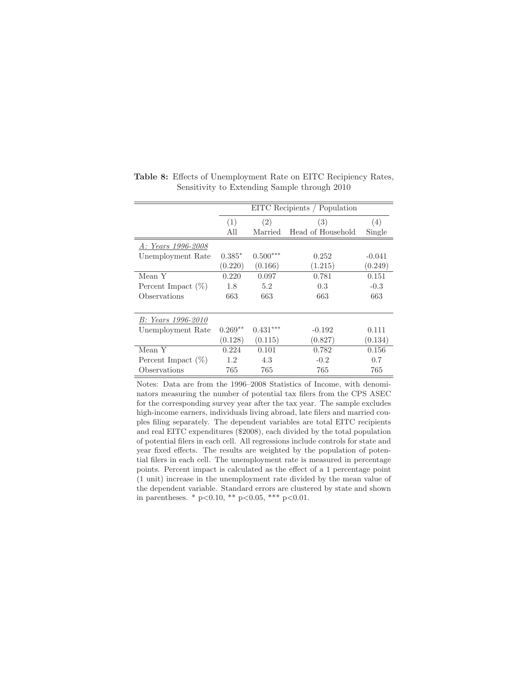|                       | EITC Recipients / Population |            |                   |          |  |  |
|-----------------------|------------------------------|------------|-------------------|----------|--|--|
|                       | (1)                          | (2)        | (3)               | (4)      |  |  |
|                       | All                          | Married    | Head of Household | Single   |  |  |
| A: Years 1996-2008    |                              |            |                   |          |  |  |
| Unemployment Rate     | $0.385*$                     | $0.500***$ | 0.252             | $-0.041$ |  |  |
|                       | (0.220)                      | (0.166)    | (1.215)           | (0.249)  |  |  |
| Mean Y                | 0.220                        | 0.097      | 0.781             | 0.151    |  |  |
| Percent Impact $(\%)$ | 1.8                          | 5.2        | 0.3               | $-0.3$   |  |  |
| Observations          | 663                          | 663        | 663               | 663      |  |  |
|                       |                              |            |                   |          |  |  |
| B: Years 1996-2010    |                              |            |                   |          |  |  |
| Unemployment Rate     | $0.269**$                    | $0.431***$ | $-0.192$          | 0.111    |  |  |
|                       | (0.128)                      | (0.115)    | (0.827)           | (0.134)  |  |  |
| Mean Y                | 0.224                        | 0.101      | 0.782             | 0.156    |  |  |
| Percent Impact $(\%)$ | 1.2                          | 4.3        | $-0.2$            | 0.7      |  |  |
| Observations          | 765                          | 765        | 765               | 765      |  |  |

**Table 8:** Effects of Unemployment Rate on EITC Recipiency Rates, Sensitivity to Extending Sample through 2010

Notes: Data are from the 1996–2008 Statistics of Income, with denominators measuring the number of potential tax filers from the CPS ASEC for the corresponding survey year after the tax year. The sample excludes high-income earners, individuals living abroad, late filers and married couples filing separately. The dependent variables are total EITC recipients and real EITC expenditures (\$2008), each divided by the total population of potential filers in each cell. All regressions include controls for state and year fixed effects. The results are weighted by the population of potential filers in each cell. The unemployment rate is measured in percentage points. Percent impact is calculated as the effect of a 1 percentage point (1 unit) increase in the unemployment rate divided by the mean value of the dependent variable. Standard errors are clustered by state and shown in parentheses. \*  $p<0.10$ , \*\*  $p<0.05$ , \*\*\*  $p<0.01$ .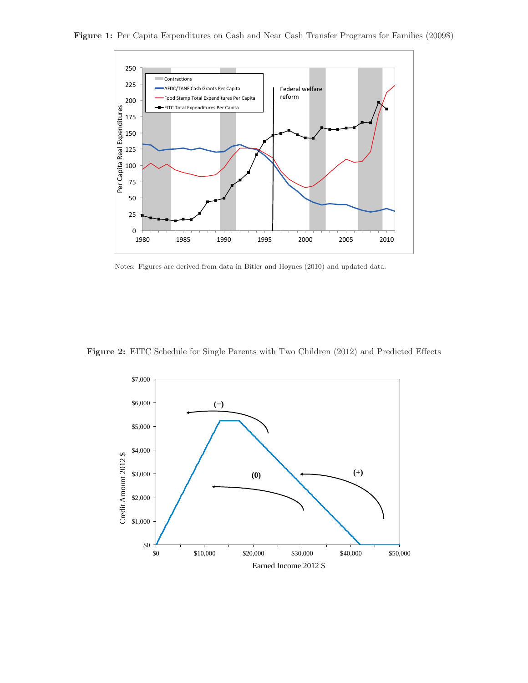



Notes: Figures are derived from data in Bitler and Hoynes (2010) and updated data.

**Figure 2:** EITC Schedule for Single Parents with Two Children (2012) and Predicted Effects

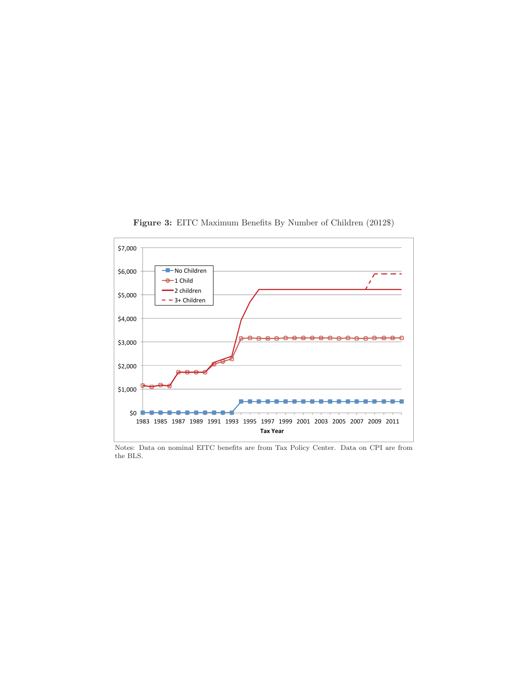

**Figure 3:** EITC Maximum Benefits By Number of Children (2012\$)

Notes: Data on nominal EITC benefits are from Tax Policy Center. Data on CPI are from the BLS.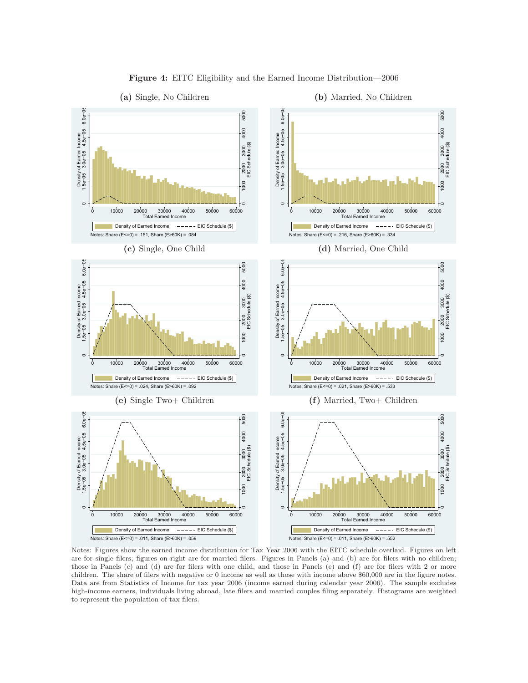

**Figure 4:** EITC Eligibility and the Earned Income Distribution—2006

Notes: Figures show the earned income distribution for Tax Year 2006 with the EITC schedule overlaid. Figures on left are for single filers; figures on right are for married filers. Figures in Panels (a) and (b) are for filers with no children; those in Panels (c) and (d) are for filers with one child, and those in Panels (e) and (f) are for filers with 2 or more children. The share of filers with negative or 0 income as well as those with income above \$60,000 are in the figure notes. Data are from Statistics of Income for tax year 2006 (income earned during calendar year 2006). The sample excludes high-income earners, individuals living abroad, late filers and married couples filing separately. Histograms are weighted to represent the population of tax filers.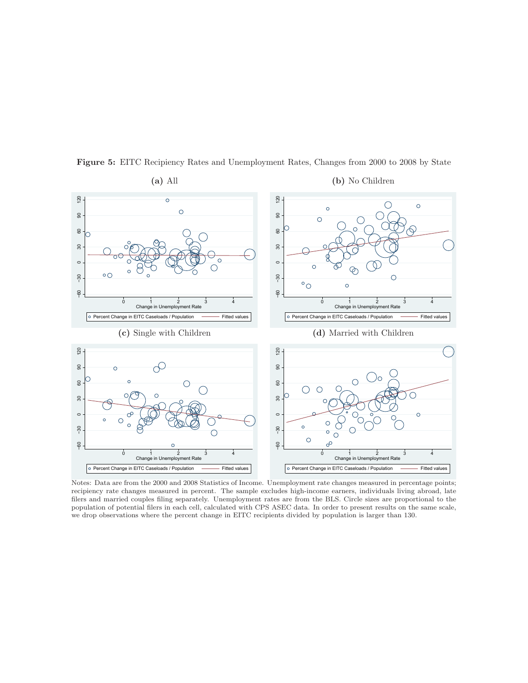

**Figure 5:** EITC Recipiency Rates and Unemployment Rates, Changes from 2000 to 2008 by State

Notes: Data are from the 2000 and 2008 Statistics of Income. Unemployment rate changes measured in percentage points; recipiency rate changes measured in percent. The sample excludes high-income earners, individuals living abroad, late filers and married couples filing separately. Unemployment rates are from the BLS. Circle sizes are proportional to the population of potential filers in each cell, calculated with CPS ASEC data. In order to present results on the same scale, we drop observations where the percent change in EITC recipients divided by population is larger than 130.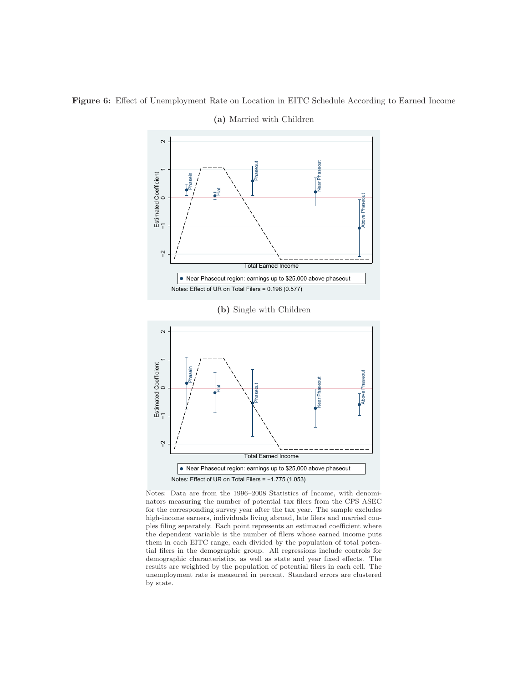

**Figure 6:** Effect of Unemployment Rate on Location in EITC Schedule According to Earned Income

**(a)** Married with Children





Notes: Data are from the 1996–2008 Statistics of Income, with denominators measuring the number of potential tax filers from the CPS ASEC for the corresponding survey year after the tax year. The sample excludes high-income earners, individuals living abroad, late filers and married couples filing separately. Each point represents an estimated coefficient where the dependent variable is the number of filers whose earned income puts them in each EITC range, each divided by the population of total potential filers in the demographic group. All regressions include controls for demographic characteristics, as well as state and year fixed effects. The results are weighted by the population of potential filers in each cell. The unemployment rate is measured in percent. Standard errors are clustered by state.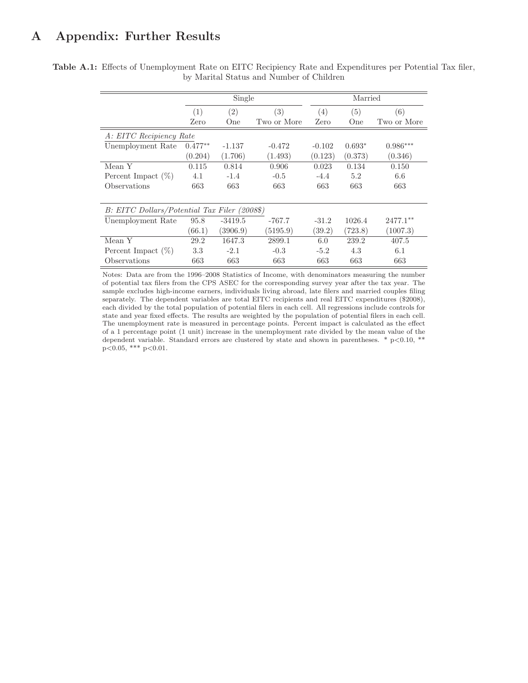# **A Appendix: Further Results**

|                                              |           | Single    |                   |          | Married  |             |
|----------------------------------------------|-----------|-----------|-------------------|----------|----------|-------------|
|                                              | (1)       | (2)       | $\left( 3\right)$ | (4)      | (5)      | (6)         |
|                                              | Zero      | One       | Two or More       | Zero     | One      | Two or More |
| A: EITC Recipiency Rate                      |           |           |                   |          |          |             |
| Unemployment Rate                            | $0.477**$ | $-1.137$  | $-0.472$          | $-0.102$ | $0.693*$ | $0.986***$  |
|                                              | (0.204)   | (1.706)   | (1.493)           | (0.123)  | (0.373)  | (0.346)     |
| Mean Y                                       | 0.115     | 0.814     | 0.906             | 0.023    | 0.134    | 0.150       |
| Percent Impact $(\%)$                        | 4.1       | $-1.4$    | $-0.5$            | $-4.4$   | 5.2      | 6.6         |
| Observations                                 | 663       | 663       | 663               | 663      | 663      | 663         |
| B: EITC Dollars/Potential Tax Filer (2008\$) |           |           |                   |          |          |             |
| Unemployment Rate                            | 95.8      | $-3419.5$ | $-767.7$          | $-31.2$  | 1026.4   | $2477.1**$  |
|                                              | (66.1)    | (3906.9)  | (5195.9)          | (39.2)   | (723.8)  | (1007.3)    |
| Mean Y                                       | 29.2      | 1647.3    | 2899.1            | 6.0      | 239.2    | 407.5       |
| Percent Impact $(\%)$                        | 3.3       | $-2.1$    | $-0.3$            | $-5.2$   | 4.3      | 6.1         |
| Observations                                 | 663       | 663       | 663               | 663      | 663      | 663         |

**Table A.1:** Effects of Unemployment Rate on EITC Recipiency Rate and Expenditures per Potential Tax filer, by Marital Status and Number of Children

> Notes: Data are from the 1996–2008 Statistics of Income, with denominators measuring the number of potential tax filers from the CPS ASEC for the corresponding survey year after the tax year. The sample excludes high-income earners, individuals living abroad, late filers and married couples filing separately. The dependent variables are total EITC recipients and real EITC expenditures (\$2008), each divided by the total population of potential filers in each cell. All regressions include controls for state and year fixed effects. The results are weighted by the population of potential filers in each cell. The unemployment rate is measured in percentage points. Percent impact is calculated as the effect of a 1 percentage point (1 unit) increase in the unemployment rate divided by the mean value of the dependent variable. Standard errors are clustered by state and shown in parentheses.  $*$  p $< 0.10, **$  $p<0.05$ , \*\*\*  $p<0.01$ .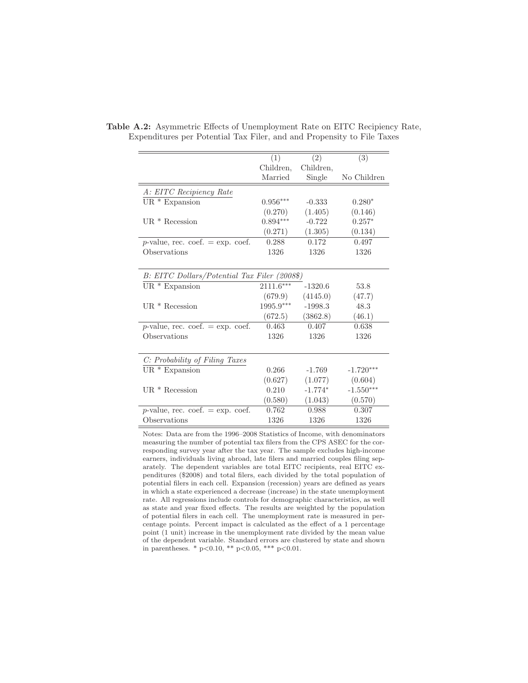|                                              | (1)         | (2)       | (3)         |
|----------------------------------------------|-------------|-----------|-------------|
|                                              | Children,   | Children. |             |
|                                              | Married     | Single    | No Children |
| A: EITC Recipiency Rate                      |             |           |             |
| UR $*$ Expansion                             | $0.956***$  | $-0.333$  | $0.280*$    |
|                                              | (0.270)     | (1.405)   | (0.146)     |
| UR $*$ Recession                             | $0.894***$  | $-0.722$  | $0.257*$    |
|                                              | (0.271)     | (1.305)   | (0.134)     |
| $p$ -value, rec. coef. = exp. coef.          | 0.288       | 0.172     | 0.497       |
| Observations                                 | 1326        | 1326      | 1326        |
|                                              |             |           |             |
| B: EITC Dollars/Potential Tax Filer (2008\$) |             |           |             |
| $UR * Expansion$                             | $2111.6***$ | $-1320.6$ | 53.8        |
|                                              | (679.9)     | (4145.0)  | (47.7)      |
| $UR * Recession$                             | 1995.9***   | $-1998.3$ | 48.3        |
|                                              | (672.5)     | (3862.8)  | (46.1)      |
| $p$ -value, rec. coef. = exp. coef.          | 0.463       | 0.407     | 0.638       |
| Observations                                 | 1326        | 1326      | 1326        |
|                                              |             |           |             |
| C: Probability of Filing Taxes               |             |           |             |
| $UR * Expansion$                             | 0.266       | $-1.769$  | $-1.720***$ |
|                                              | (0.627)     | (1.077)   | (0.604)     |
| $UR * Recession$                             | 0.210       | $-1.774*$ | $-1.550***$ |
|                                              | (0.580)     | (1.043)   | (0.570)     |
| $p$ -value, rec. coef. = exp. coef.          | 0.762       | 0.988     | 0.307       |
| Observations                                 | 1326        | 1326      | 1326        |
|                                              |             |           |             |

**Table A.2:** Asymmetric Effects of Unemployment Rate on EITC Recipiency Rate, Expenditures per Potential Tax Filer, and and Propensity to File Taxes

Notes: Data are from the 1996–2008 Statistics of Income, with denominators measuring the number of potential tax filers from the CPS ASEC for the corresponding survey year after the tax year. The sample excludes high-income earners, individuals living abroad, late filers and married couples filing separately. The dependent variables are total EITC recipients, real EITC expenditures (\$2008) and total filers, each divided by the total population of potential filers in each cell. Expansion (recession) years are defined as years in which a state experienced a decrease (increase) in the state unemployment rate. All regressions include controls for demographic characteristics, as well as state and year fixed effects. The results are weighted by the population of potential filers in each cell. The unemployment rate is measured in percentage points. Percent impact is calculated as the effect of a 1 percentage point (1 unit) increase in the unemployment rate divided by the mean value of the dependent variable. Standard errors are clustered by state and shown in parentheses. \*  $p<0.10$ , \*\*  $p<0.05$ , \*\*\*  $p<0.01$ .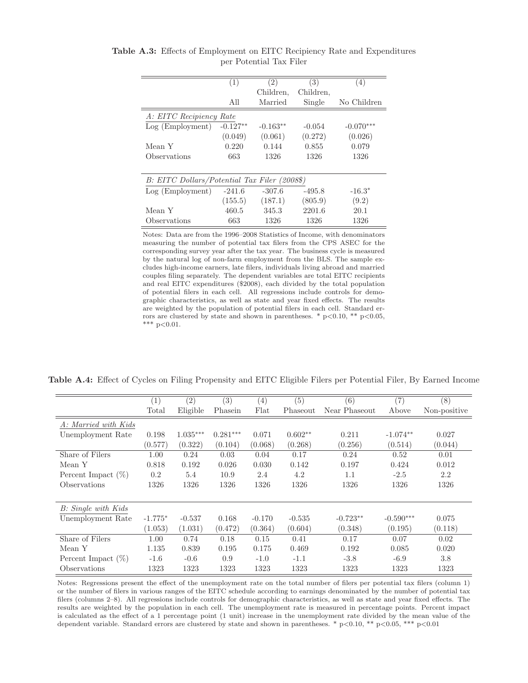|                                              | (1)        | (2)        | (3)       | (4)         |
|----------------------------------------------|------------|------------|-----------|-------------|
|                                              |            | Children,  | Children, |             |
|                                              | All        | Married    | Single    | No Children |
| A: EITC Recipiency Rate                      |            |            |           |             |
| Log (Employment)                             | $-0.127**$ | $-0.163**$ | $-0.054$  | $-0.070***$ |
|                                              | (0.049)    | (0.061)    | (0.272)   | (0.026)     |
| Mean Y                                       | 0.220      | 0.144      | 0.855     | 0.079       |
| Observations                                 | 663        | 1326       | 1326      | 1326        |
|                                              |            |            |           |             |
| B: EITC Dollars/Potential Tax Filer (2008\$) |            |            |           |             |
| Log (Employment)                             | $-241.6$   | $-307.6$   | $-495.8$  | $-16.3*$    |
|                                              | (155.5)    | (187.1)    | (805.9)   | (9.2)       |
| Mean Y                                       | 460.5      | 345.3      | 2201.6    | 20.1        |
| Observations                                 | 663        | 1326       | 1326      | 1326        |

**Table A.3:** Effects of Employment on EITC Recipiency Rate and Expenditures per Potential Tax Filer

Notes: Data are from the 1996–2008 Statistics of Income, with denominators measuring the number of potential tax filers from the CPS ASEC for the corresponding survey year after the tax year. The business cycle is measured by the natural log of non-farm employment from the BLS. The sample excludes high-income earners, late filers, individuals living abroad and married couples filing separately. The dependent variables are total EITC recipients and real EITC expenditures (\$2008), each divided by the total population of potential filers in each cell. All regressions include controls for demographic characteristics, as well as state and year fixed effects. The results are weighted by the population of potential filers in each cell. Standard errors are clustered by state and shown in parentheses. \*  $p<0.10$ , \*\*  $p<0.05$ , \*\*\*  $p<0.01$ .

**Table A.4:** Effect of Cycles on Filing Propensity and EITC Eligible Filers per Potential Filer, By Earned Income

|                       | (1)       | (2)        | (3)        | (4)      | (5)       | (6)           | $\overline{(7)}$ | (8)          |
|-----------------------|-----------|------------|------------|----------|-----------|---------------|------------------|--------------|
|                       | Total     | Eligible   | Phasein    | Flat     | Phaseout  | Near Phaseout | Above            | Non-positive |
| A: Married with Kids  |           |            |            |          |           |               |                  |              |
| Unemployment Rate     | 0.198     | $1.035***$ | $0.281***$ | 0.071    | $0.602**$ | 0.211         | $-1.074**$       | 0.027        |
|                       | (0.577)   | (0.322)    | (0.104)    | (0.068)  | (0.268)   | (0.256)       | (0.514)          | (0.044)      |
| Share of Filers       | 1.00      | 0.24       | 0.03       | 0.04     | 0.17      | 0.24          | 0.52             | 0.01         |
| Mean Y                | 0.818     | 0.192      | 0.026      | 0.030    | 0.142     | 0.197         | 0.424            | 0.012        |
| Percent Impact $(\%)$ | 0.2       | 5.4        | 10.9       | 2.4      | 4.2       | 1.1           | $-2.5$           | 2.2          |
| <b>Observations</b>   | 1326      | 1326       | 1326       | 1326     | 1326      | 1326          | 1326             | 1326         |
|                       |           |            |            |          |           |               |                  |              |
| B: Single with Kids   |           |            |            |          |           |               |                  |              |
| Unemployment Rate     | $-1.775*$ | $-0.537$   | 0.168      | $-0.170$ | $-0.535$  | $-0.723**$    | $-0.590***$      | 0.075        |
|                       | (1.053)   | (1.031)    | (0.472)    | (0.364)  | (0.604)   | (0.348)       | (0.195)          | (0.118)      |
| Share of Filers       | 1.00      | 0.74       | 0.18       | 0.15     | 0.41      | 0.17          | 0.07             | 0.02         |
| Mean Y                | 1.135     | 0.839      | 0.195      | 0.175    | 0.469     | 0.192         | 0.085            | 0.020        |
| Percent Impact $(\%)$ | $-1.6$    | $-0.6$     | 0.9        | $-1.0$   | $-1.1$    | $-3.8$        | $-6.9$           | 3.8          |
| Observations          | 1323      | 1323       | 1323       | 1323     | 1323      | 1323          | 1323             | 1323         |

Notes: Regressions present the effect of the unemployment rate on the total number of filers per potential tax filers (column 1) or the number of filers in various ranges of the EITC schedule according to earnings denominated by the number of potential tax filers (columns 2–8). All regressions include controls for demographic characteristics, as well as state and year fixed effects. The results are weighted by the population in each cell. The unemployment rate is measured in percentage points. Percent impact is calculated as the effect of a 1 percentage point (1 unit) increase in the unemployment rate divided by the mean value of the dependent variable. Standard errors are clustered by state and shown in parentheses. \*  $p<0.10$ , \*\*  $p<0.05$ , \*\*\*  $p<0.01$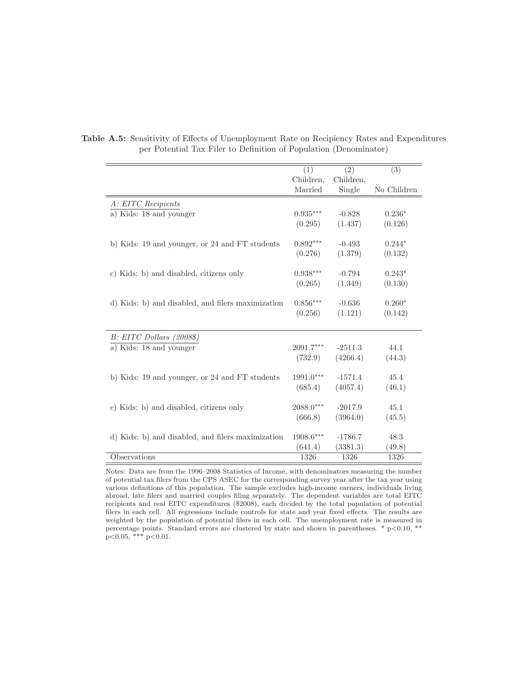|                                                   | (1)                    | (2)       | (3)         |
|---------------------------------------------------|------------------------|-----------|-------------|
|                                                   | Children,              | Children, |             |
|                                                   | Married                | Single    | No Children |
| A: EITC Recipients                                |                        |           |             |
| a) Kids: 18 and younger                           | $0.935***$             | $-0.828$  | $0.236*$    |
|                                                   | (0.295)                | (1.437)   | (0.126)     |
|                                                   |                        |           |             |
| b) Kids: 19 and younger, or 24 and FT students    | $0.892***$             | $-0.493$  | $0.244*$    |
|                                                   | (0.276)                | (1.379)   | (0.132)     |
| c) Kids: b) and disabled, citizens only           | $0.938^{\ast\ast\ast}$ | $-0.794$  | $0.243*$    |
|                                                   | (0.265)                | (1.349)   | (0.130)     |
|                                                   |                        |           |             |
| d) Kids: b) and disabled, and filers maximization | $0.856***$             | $-0.636$  | $0.260*$    |
|                                                   | (0.256)                | (1.121)   | (0.142)     |
|                                                   |                        |           |             |
| B: EITC Dollars (2008\$)                          |                        |           |             |
| a) Kids: 18 and younger                           | $2091.7***$            | $-2511.3$ | 44.1        |
|                                                   | (732.9)                | (4266.4)  | (44.3)      |
| b) Kids: 19 and younger, or 24 and FT students    | 1991.0***              | $-1571.4$ | 45.4        |
|                                                   | (685.4)                | (4057.4)  | (46.1)      |
|                                                   |                        |           |             |
| c) Kids: b) and disabled, citizens only           | $2088.0***$            | $-2017.9$ | 45.1        |
|                                                   | (666.8)                | (3964.0)  | (45.5)      |
|                                                   |                        |           |             |
| d) Kids: b) and disabled, and filers maximization | 1908.6***              | $-1786.7$ | 48.3        |
|                                                   | (641.4)                | (3381.3)  | (49.8)      |
| Observations                                      | 1326                   | 1326      | 1326        |

**Table A.5:** Sensitivity of Effects of Unemployment Rate on Recipiency Rates and Expenditures per Potential Tax Filer to Definition of Population (Denominator)

Notes: Data are from the 1996–2008 Statistics of Income, with denominators measuring the number of potential tax filers from the CPS ASEC for the corresponding survey year after the tax year using various definitions of this population. The sample excludes high-income earners, individuals living abroad, late filers and married couples filing separately. The dependent variables are total EITC recipients and real EITC expenditures (\$2008), each divided by the total population of potential filers in each cell. All regressions include controls for state and year fixed effects. The results are weighted by the population of potential filers in each cell. The unemployment rate is measured in percentage points. Standard errors are clustered by state and shown in parentheses. \* p<0.10, \*\* p<0.05, \*\*\* p<0.01.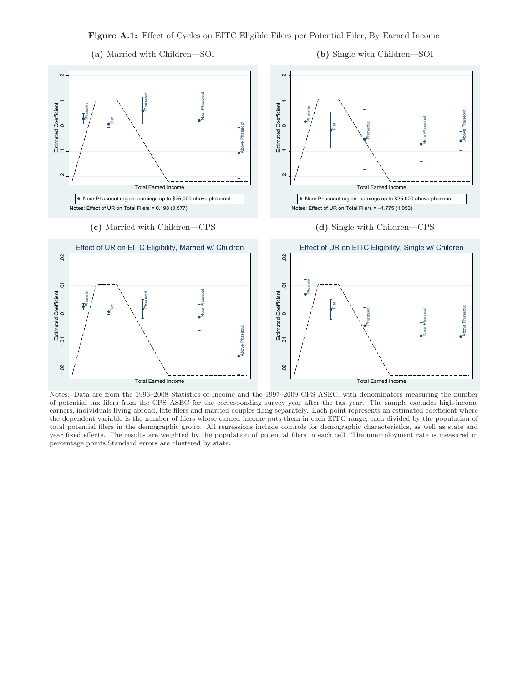**Figure A.1:** Effect of Cycles on EITC Eligible Filers per Potential Filer, By Earned Income



**(b)** Single with Children—SOI



Notes: Data are from the 1996–2008 Statistics of Income and the 1997–2009 CPS ASEC, with denominators measuring the number of potential tax filers from the CPS ASEC for the corresponding survey year after the tax year. The sample excludes high-income earners, individuals living abroad, late filers and married couples filing separately. Each point represents an estimated coefficient where the dependent variable is the number of filers whose earned income puts them in each EITC range, each divided by the population of total potential filers in the demographic group. All regressions include controls for demographic characteristics, as well as state and year fixed effects. The results are weighted by the population of potential filers in each cell. The unemployment rate is measured in percentage points.Standard errors are clustered by state.